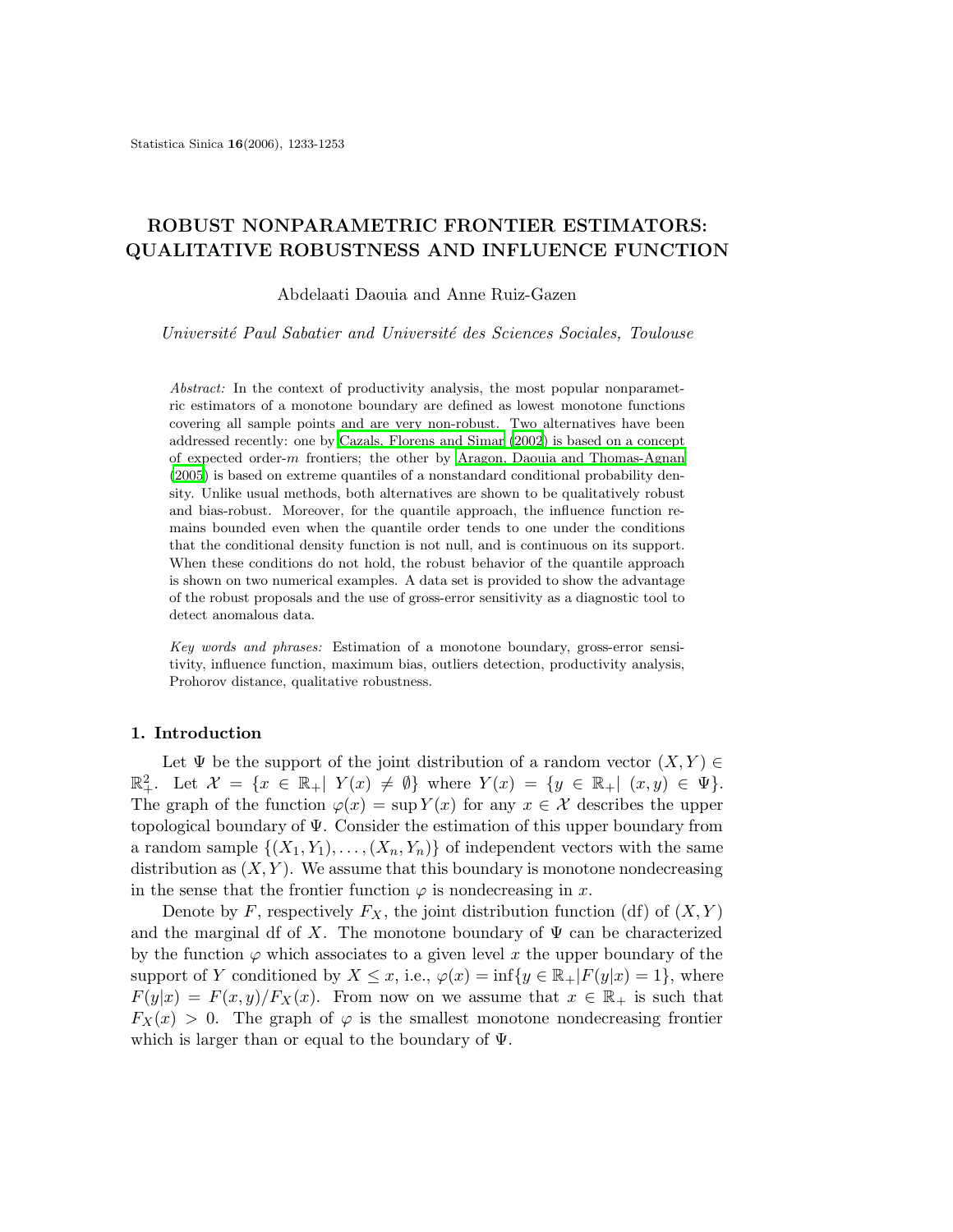# ROBUST NONPARAMETRIC FRONTIER ESTIMATORS: QUALITATIVE ROBUSTNESS AND INFLUENCE FUNCTION

Abdelaati Daouia and Anne Ruiz-Gazen

Université Paul Sabatier and Université des Sciences Sociales, Toulouse

Abstract: In the context of productivity analysis, the most popular nonparametric estimators of a monotone boundary are defined as lowest monotone functions covering all sample points and are very non-robust. Two alternatives have been addressed recently: one by Cazals, [Florens](#page-19-0) and Simar [\(2002\)](#page-19-0) is based on a concept of expected order-m frontiers; the other by Aragon, Daouia and [Thomas-Agnan](#page-19-1) [\(2005\)](#page-19-1) is based on extreme quantiles of a nonstandard conditional probability density. Unlike usual methods, both alternatives are shown to be qualitatively robust and bias-robust. Moreover, for the quantile approach, the influence function remains bounded even when the quantile order tends to one under the conditions that the conditional density function is not null, and is continuous on its support. When these conditions do not hold, the robust behavior of the quantile approach is shown on two numerical examples. A data set is provided to show the advantage of the robust proposals and the use of gross-error sensitivity as a diagnostic tool to detect anomalous data.

Key words and phrases: Estimation of a monotone boundary, gross-error sensitivity, influence function, maximum bias, outliers detection, productivity analysis, Prohorov distance, qualitative robustness.

#### 1. Introduction

Let  $\Psi$  be the support of the joint distribution of a random vector  $(X, Y) \in$  $\mathbb{R}^2_+$ . Let  $\mathcal{X} = \{x \in \mathbb{R}_+ | Y(x) \neq \emptyset\}$  where  $Y(x) = \{y \in \mathbb{R}_+ | (x, y) \in \Psi\}$ . The graph of the function  $\varphi(x) = \sup Y(x)$  for any  $x \in \mathcal{X}$  describes the upper topological boundary of Ψ. Consider the estimation of this upper boundary from a random sample  $\{(X_1, Y_1), \ldots, (X_n, Y_n)\}\$  of independent vectors with the same distribution as  $(X, Y)$ . We assume that this boundary is monotone nondecreasing in the sense that the frontier function  $\varphi$  is nondecreasing in x.

Denote by F, respectively  $F_X$ , the joint distribution function (df) of  $(X, Y)$ and the marginal df of X. The monotone boundary of  $\Psi$  can be characterized by the function  $\varphi$  which associates to a given level x the upper boundary of the support of Y conditioned by  $X \leq x$ , i.e.,  $\varphi(x) = \inf\{y \in \mathbb{R}_+|F(y|x) = 1\}$ , where  $F(y|x) = F(x, y)/F_X(x)$ . From now on we assume that  $x \in \mathbb{R}_+$  is such that  $F_X(x) > 0$ . The graph of  $\varphi$  is the smallest monotone nondecreasing frontier which is larger than or equal to the boundary of  $\Psi$ .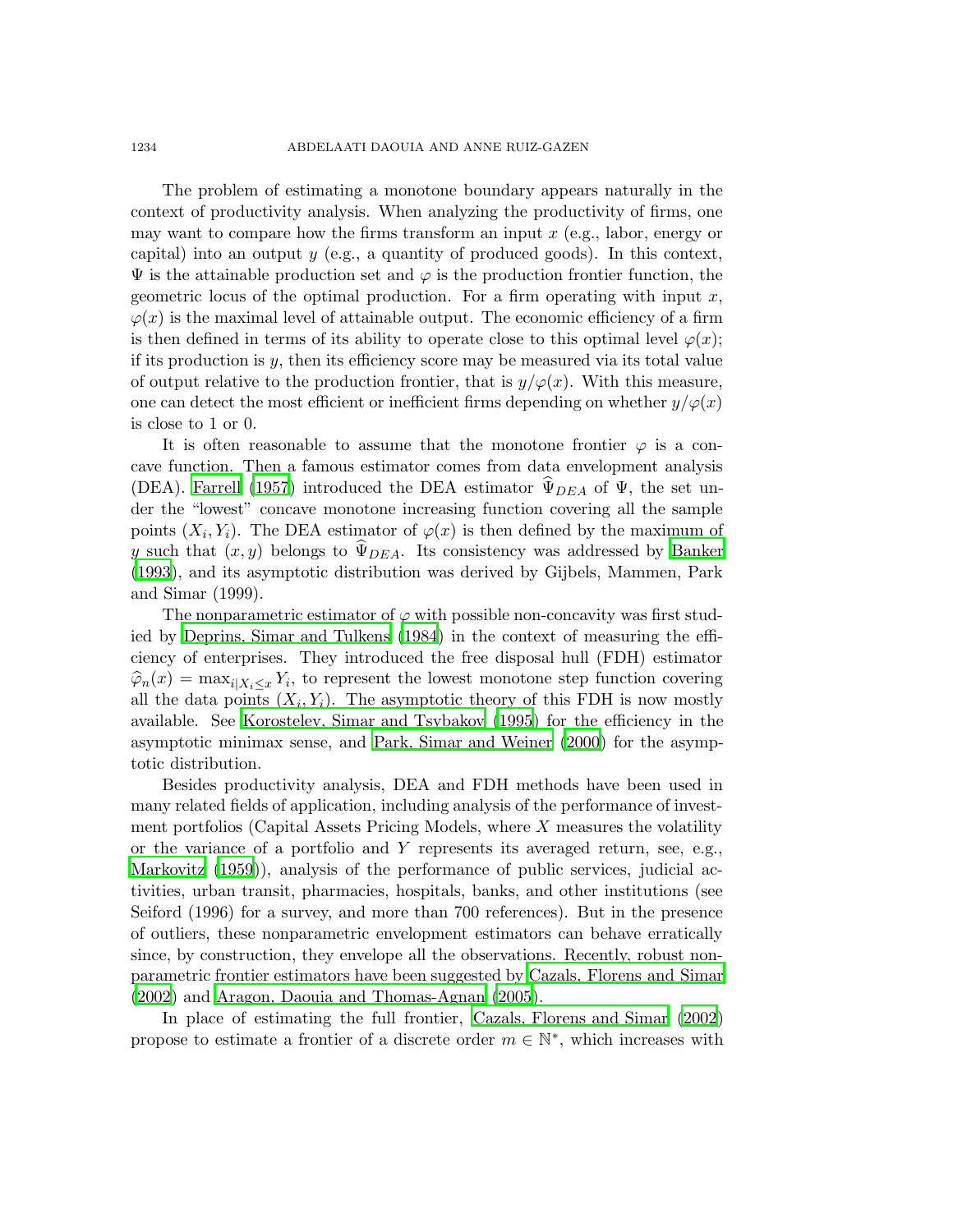The problem of estimating a monotone boundary appears naturally in the context of productivity analysis. When analyzing the productivity of firms, one may want to compare how the firms transform an input  $x$  (e.g., labor, energy or capital) into an output  $y$  (e.g., a quantity of produced goods). In this context,  $\Psi$  is the attainable production set and  $\varphi$  is the production frontier function, the geometric locus of the optimal production. For a firm operating with input  $x$ ,  $\varphi(x)$  is the maximal level of attainable output. The economic efficiency of a firm is then defined in terms of its ability to operate close to this optimal level  $\varphi(x)$ ; if its production is  $y$ , then its efficiency score may be measured via its total value of output relative to the production frontier, that is  $y/\varphi(x)$ . With this measure, one can detect the most efficient or inefficient firms depending on whether  $y/\varphi(x)$ is close to 1 or 0.

It is often reasonable to assume that the monotone frontier  $\varphi$  is a concave function. Then a famous estimator comes from data envelopment analysis (DEA). [Farrell](#page-19-2) [\(1957\)](#page-19-2) introduced the DEA estimator  $\widetilde{\Psi}_{DEA}$  of  $\Psi$ , the set under the "lowest" concave monotone increasing function covering all the sample points  $(X_i, Y_i)$ . The DEA estimator of  $\varphi(x)$  is then defined by the maximum of y such that  $(x, y)$  belongs to  $\Psi_{DFA}$ . Its consistency was addressed by [Banker](#page-19-3) [\(1993](#page-19-3)), and its asymptotic distribution was derived by Gijbels, Mammen, Park and Simar (1999).

The nonparametric estimator of  $\varphi$  with possible non-concavity was first studied by [Deprins,](#page-19-4) Simar and Tulkens [\(1984](#page-19-4)) in the context of measuring the efficiency of enterprises. They introduced the free disposal hull (FDH) estimator  $\widehat{\varphi}_n(x) = \max_{i \mid X_i \leq x} Y_i$ , to represent the lowest monotone step function covering all the data points  $(X_i, Y_i)$ . The asymptotic theory of this FDH is now mostly available. See [Korostelev,](#page-19-5) Simar and Tsybakov [\(1995](#page-19-5)) for the efficiency in the asymptotic minimax sense, and Park, Simar and [Weiner](#page-20-0) [\(2000\)](#page-20-0) for the asymptotic distribution.

Besides productivity analysis, DEA and FDH methods have been used in many related fields of application, including analysis of the performance of investment portfolios (Capital Assets Pricing Models, where  $X$  measures the volatility or the variance of a portfolio and Y represents its averaged return, see, e.g., [Markovitz](#page-20-1) [\(1959](#page-20-1))), analysis of the performance of public services, judicial activities, urban transit, pharmacies, hospitals, banks, and other institutions (see Seiford (1996) for a survey, and more than 700 references). But in the presence of outliers, these nonparametric envelopment estimators can behave erratically since, by construction, they envelope all the observations. Recently, robust nonparametric frontier estimators have been suggested by Cazals, [Florens](#page-19-0) and Simar [\(2002](#page-19-0)) and Aragon, Daouia and [Thomas-Agnan](#page-19-1) [\(2005](#page-19-1)).

In place of estimating the full frontier, Cazals, [Florens](#page-19-0) and Simar [\(2002](#page-19-0)) propose to estimate a frontier of a discrete order  $m \in \mathbb{N}^*$ , which increases with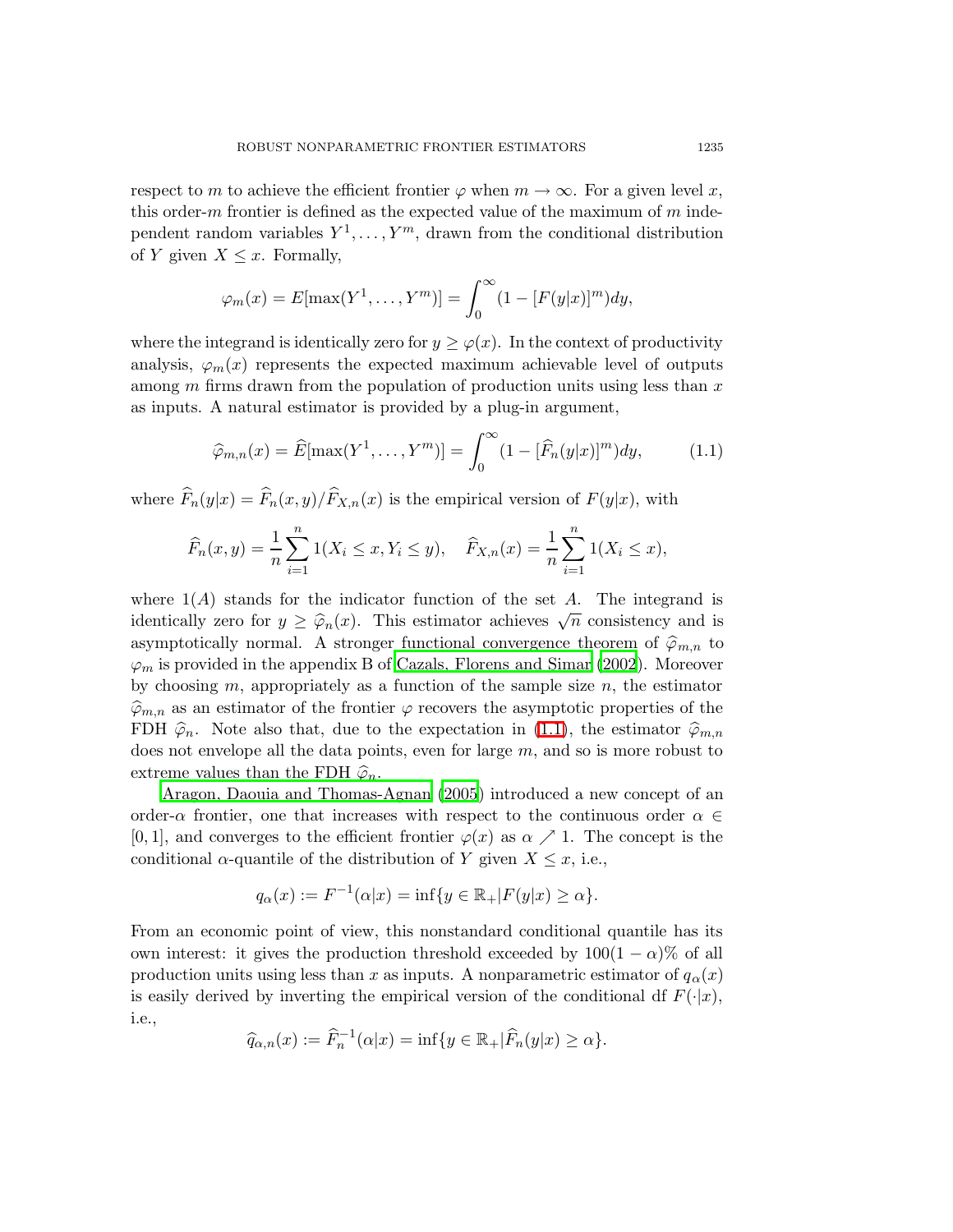respect to m to achieve the efficient frontier  $\varphi$  when  $m \to \infty$ . For a given level x, this order-m frontier is defined as the expected value of the maximum of  $m$  independent random variables  $Y^1, \ldots, Y^m$ , drawn from the conditional distribution of Y given  $X \leq x$ . Formally,

<span id="page-2-0"></span>
$$
\varphi_m(x) = E[\max(Y^1, \dots, Y^m)] = \int_0^\infty (1 - [F(y|x)]^m) dy,
$$

where the integrand is identically zero for  $y \geq \varphi(x)$ . In the context of productivity analysis,  $\varphi_m(x)$  represents the expected maximum achievable level of outputs among  $m$  firms drawn from the population of production units using less than  $x$ as inputs. A natural estimator is provided by a plug-in argument,

$$
\widehat{\varphi}_{m,n}(x) = \widehat{E}[\max(Y^1, \dots, Y^m)] = \int_0^\infty (1 - [\widehat{F}_n(y|x)]^m) dy, \qquad (1.1)
$$

where  $\widehat{F}_n(y|x) = \widehat{F}_n(x, y)/\widehat{F}_{X,n}(x)$  is the empirical version of  $F(y|x)$ , with

$$
\widehat{F}_n(x,y) = \frac{1}{n} \sum_{i=1}^n 1(X_i \le x, Y_i \le y), \quad \widehat{F}_{X,n}(x) = \frac{1}{n} \sum_{i=1}^n 1(X_i \le x),
$$

where  $1(A)$  stands for the indicator function of the set A. The integrand is identically zero for  $y \geq \hat{\varphi}_n(x)$ . This estimator achieves  $\sqrt{n}$  consistency and is asymptotically normal. A stronger functional convergence theorem of  $\hat{\varphi}_{m,n}$  to  $\varphi_m$  is provided in the appendix B of Cazals, [Florens](#page-19-0) and Simar [\(2002](#page-19-0)). Moreover by choosing  $m$ , appropriately as a function of the sample size  $n$ , the estimator  $\widehat{\varphi}_{m,n}$  as an estimator of the frontier  $\varphi$  recovers the asymptotic properties of the FDH  $\hat{\varphi}_n$ . Note also that, due to the expectation in [\(1.1\)](#page-2-0), the estimator  $\hat{\varphi}_{m,n}$ does not envelope all the data points, even for large  $m$ , and so is more robust to extreme values than the FDH  $\widehat{\varphi}_n$ .

Aragon, Daouia and [Thomas-Agnan](#page-19-1) [\(2005](#page-19-1)) introduced a new concept of an order- $\alpha$  frontier, one that increases with respect to the continuous order  $\alpha \in$ [0, 1], and converges to the efficient frontier  $\varphi(x)$  as  $\alpha \nearrow 1$ . The concept is the conditional  $\alpha$ -quantile of the distribution of Y given  $X \leq x$ , i.e.,

$$
q_{\alpha}(x) := F^{-1}(\alpha|x) = \inf\{y \in \mathbb{R}_+|F(y|x) \ge \alpha\}.
$$

From an economic point of view, this nonstandard conditional quantile has its own interest: it gives the production threshold exceeded by  $100(1 - \alpha)\%$  of all production units using less than x as inputs. A nonparametric estimator of  $q_\alpha(x)$ is easily derived by inverting the empirical version of the conditional df  $F(\cdot|x)$ , i.e.,

$$
\widehat{q}_{\alpha,n}(x) := \widehat{F}_n^{-1}(\alpha|x) = \inf\{y \in \mathbb{R}_+|\widehat{F}_n(y|x) \ge \alpha\}.
$$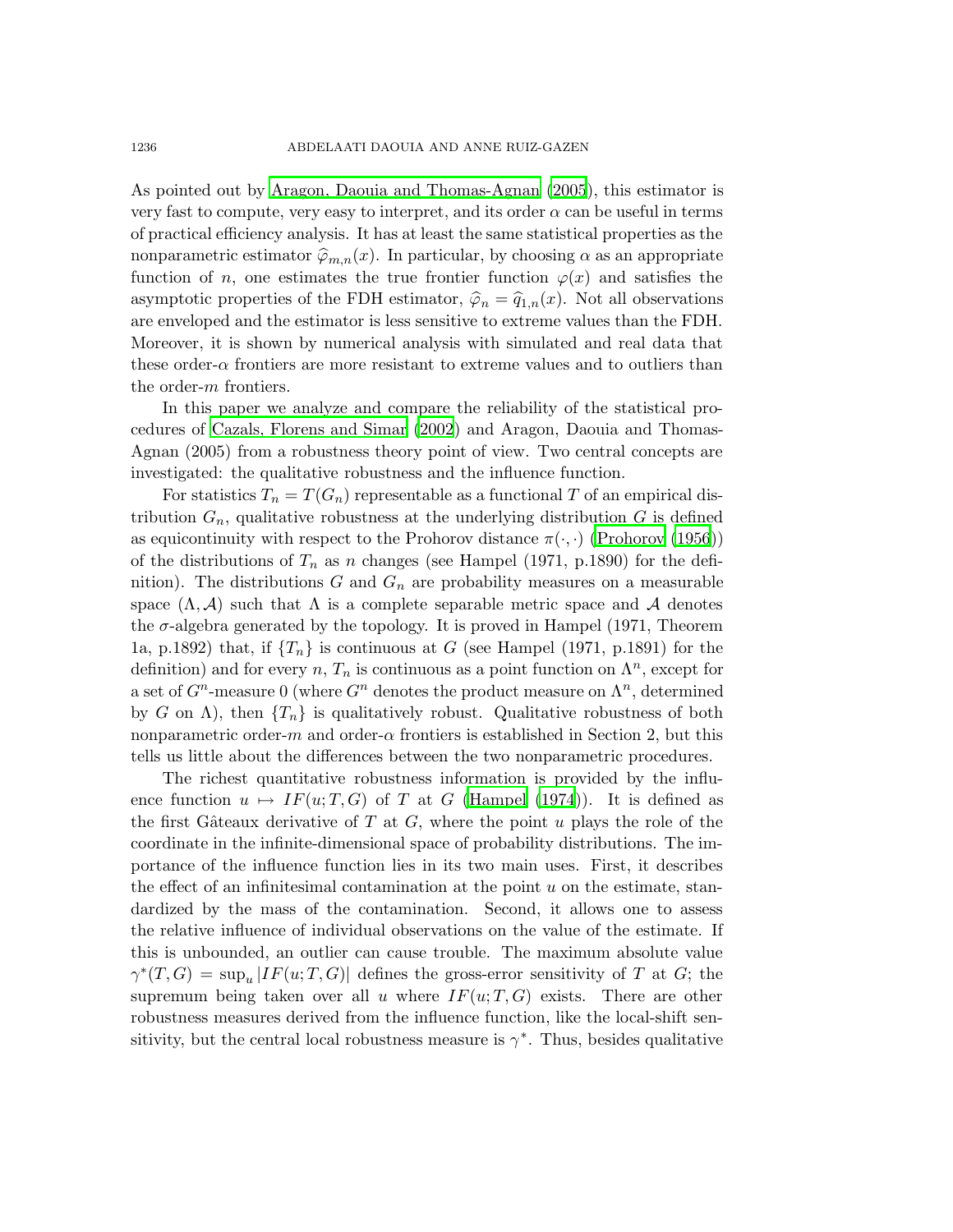As pointed out by Aragon, Daouia and [Thomas-Agnan](#page-19-1) [\(2005](#page-19-1)), this estimator is very fast to compute, very easy to interpret, and its order  $\alpha$  can be useful in terms of practical efficiency analysis. It has at least the same statistical properties as the nonparametric estimator  $\hat{\varphi}_{m,n}(x)$ . In particular, by choosing  $\alpha$  as an appropriate function of n, one estimates the true frontier function  $\varphi(x)$  and satisfies the asymptotic properties of the FDH estimator,  $\hat{\varphi}_n = \hat{q}_{1,n}(x)$ . Not all observations are enveloped and the estimator is less sensitive to extreme values than the FDH. Moreover, it is shown by numerical analysis with simulated and real data that these order- $\alpha$  frontiers are more resistant to extreme values and to outliers than the order-m frontiers.

In this paper we analyze and compare the reliability of the statistical procedures of Cazals, [Florens](#page-19-0) and Simar [\(2002](#page-19-0)) and Aragon, Daouia and Thomas-Agnan (2005) from a robustness theory point of view. Two central concepts are investigated: the qualitative robustness and the influence function.

For statistics  $T_n = T(G_n)$  representable as a functional T of an empirical distribution  $G_n$ , qualitative robustness at the underlying distribution  $G$  is defined as equicontinuity with respect to the Prohorov distance  $\pi(\cdot, \cdot)$  [\(Prohorov](#page-20-2) [\(1956\)](#page-20-2)) of the distributions of  $T_n$  as n changes (see Hampel (1971, p.1890) for the definition). The distributions  $G$  and  $G_n$  are probability measures on a measurable space  $(\Lambda, \mathcal{A})$  such that  $\Lambda$  is a complete separable metric space and  $\mathcal{A}$  denotes the  $\sigma$ -algebra generated by the topology. It is proved in Hampel (1971, Theorem 1a, p.1892) that, if  $\{T_n\}$  is continuous at G (see Hampel (1971, p.1891) for the definition) and for every  $n, T_n$  is continuous as a point function on  $\Lambda^n$ , except for a set of  $G^n$ -measure 0 (where  $G^n$  denotes the product measure on  $\Lambda^n$ , determined by G on  $\Lambda$ ), then  $\{T_n\}$  is qualitatively robust. Qualitative robustness of both nonparametric order-m and order- $\alpha$  frontiers is established in Section 2, but this tells us little about the differences between the two nonparametric procedures.

The richest quantitative robustness information is provided by the influence function  $u \mapsto IF(u; T, G)$  of T at G [\(Hampel](#page-19-6) [\(1974](#page-19-6))). It is defined as the first Gâteaux derivative of T at G, where the point u plays the role of the coordinate in the infinite-dimensional space of probability distributions. The importance of the influence function lies in its two main uses. First, it describes the effect of an infinitesimal contamination at the point  $u$  on the estimate, standardized by the mass of the contamination. Second, it allows one to assess the relative influence of individual observations on the value of the estimate. If this is unbounded, an outlier can cause trouble. The maximum absolute value  $\gamma^*(T, G) = \sup_u |IF(u; T, G)|$  defines the gross-error sensitivity of T at G; the supremum being taken over all u where  $IF(u; T, G)$  exists. There are other robustness measures derived from the influence function, like the local-shift sensitivity, but the central local robustness measure is  $\gamma^*$ . Thus, besides qualitative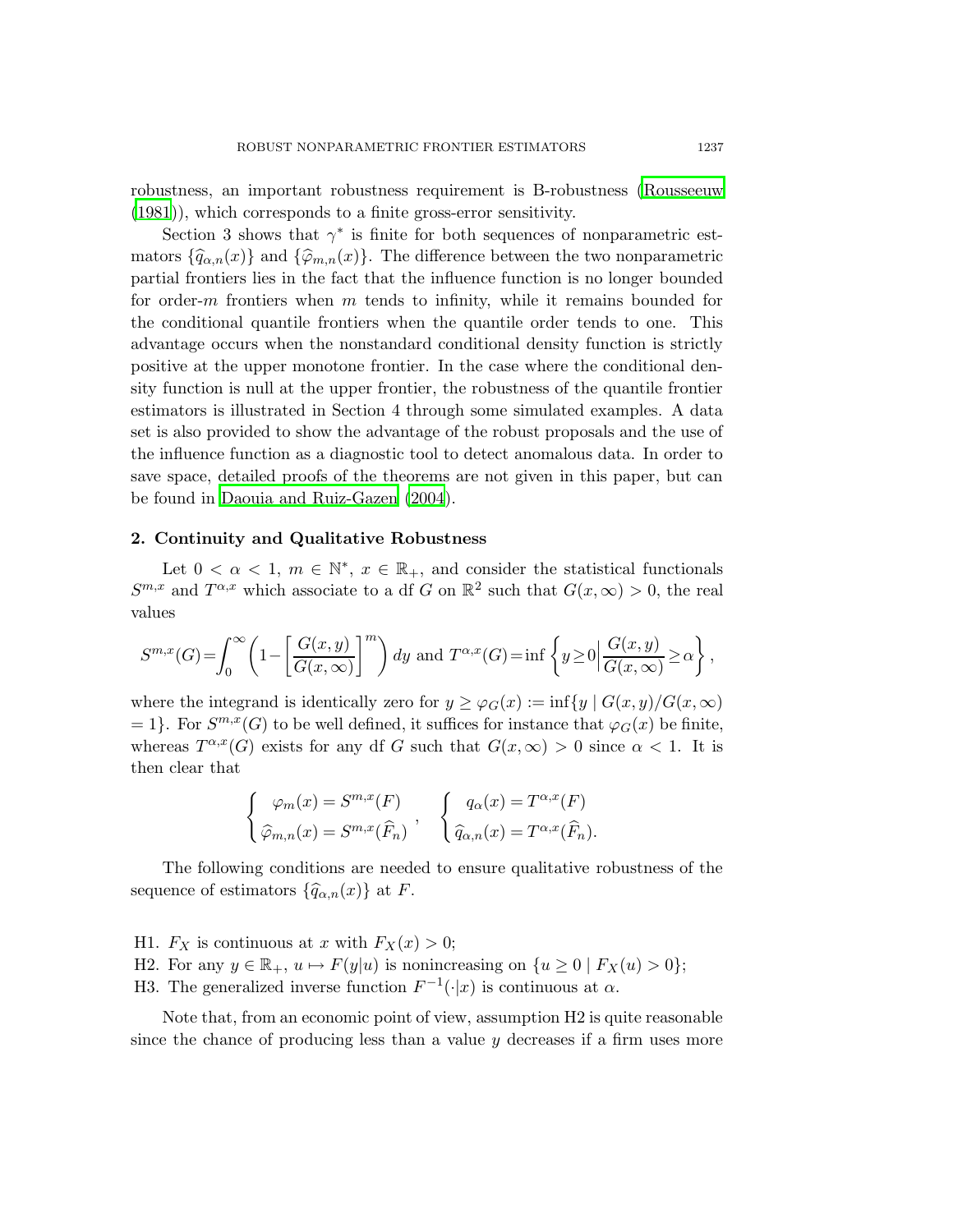robustness, an important robustness requirement is B-robustness [\(Rousseeuw](#page-20-3) [\(1981](#page-20-3))), which corresponds to a finite gross-error sensitivity.

Section 3 shows that  $\gamma^*$  is finite for both sequences of nonparametric estmators  $\{\widehat{q}_{\alpha,n}(x)\}\$  and  $\{\widehat{\varphi}_{m,n}(x)\}\$ . The difference between the two nonparametric partial frontiers lies in the fact that the influence function is no longer bounded for order-m frontiers when m tends to infinity, while it remains bounded for the conditional quantile frontiers when the quantile order tends to one. This advantage occurs when the nonstandard conditional density function is strictly positive at the upper monotone frontier. In the case where the conditional density function is null at the upper frontier, the robustness of the quantile frontier estimators is illustrated in Section 4 through some simulated examples. A data set is also provided to show the advantage of the robust proposals and the use of the influence function as a diagnostic tool to detect anomalous data. In order to save space, detailed proofs of the theorems are not given in this paper, but can be found in Daouia and [Ruiz-Gazen](#page-19-7) [\(2004\)](#page-19-7).

### 2. Continuity and Qualitative Robustness

Let  $0 < \alpha < 1$ ,  $m \in \mathbb{N}^*$ ,  $x \in \mathbb{R}_+$ , and consider the statistical functionals  $S^{m,x}$  and  $T^{\alpha,x}$  which associate to a df G on  $\mathbb{R}^2$  such that  $G(x,\infty) > 0$ , the real values

$$
S^{m,x}(G) = \int_0^\infty \left(1 - \left[\frac{G(x,y)}{G(x,\infty)}\right]^m\right) dy \text{ and } T^{\alpha,x}(G) = \inf\left\{y \ge 0 \middle| \frac{G(x,y)}{G(x,\infty)} \ge \alpha\right\},\,
$$

where the integrand is identically zero for  $y \geq \varphi_G(x) := \inf\{y \mid G(x, y)/G(x, \infty)\}\$ = 1}. For  $S^{m,x}(G)$  to be well defined, it suffices for instance that  $\varphi_G(x)$  be finite, whereas  $T^{\alpha,x}(G)$  exists for any df G such that  $G(x,\infty) > 0$  since  $\alpha < 1$ . It is then clear that

$$
\begin{cases}\n\varphi_m(x) = S^{m,x}(F) \\
\widehat{\varphi}_{m,n}(x) = S^{m,x}(\widehat{F}_n)\n\end{cases},\n\begin{cases}\nq_\alpha(x) = T^{\alpha,x}(F) \\
\widehat{q}_{\alpha,n}(x) = T^{\alpha,x}(\widehat{F}_n).\n\end{cases}
$$

The following conditions are needed to ensure qualitative robustness of the sequence of estimators  $\{\widehat{q}_{\alpha,n}(x)\}\)$  at F.

- H1.  $F_X$  is continuous at x with  $F_X(x) > 0$ ;
- H2. For any  $y \in \mathbb{R}_+$ ,  $u \mapsto F(y|u)$  is nonincreasing on  $\{u \ge 0 \mid F_X(u) > 0\}$ ;
- H3. The generalized inverse function  $F^{-1}(\cdot|x)$  is continuous at  $\alpha$ .

Note that, from an economic point of view, assumption H2 is quite reasonable since the chance of producing less than a value  $y$  decreases if a firm uses more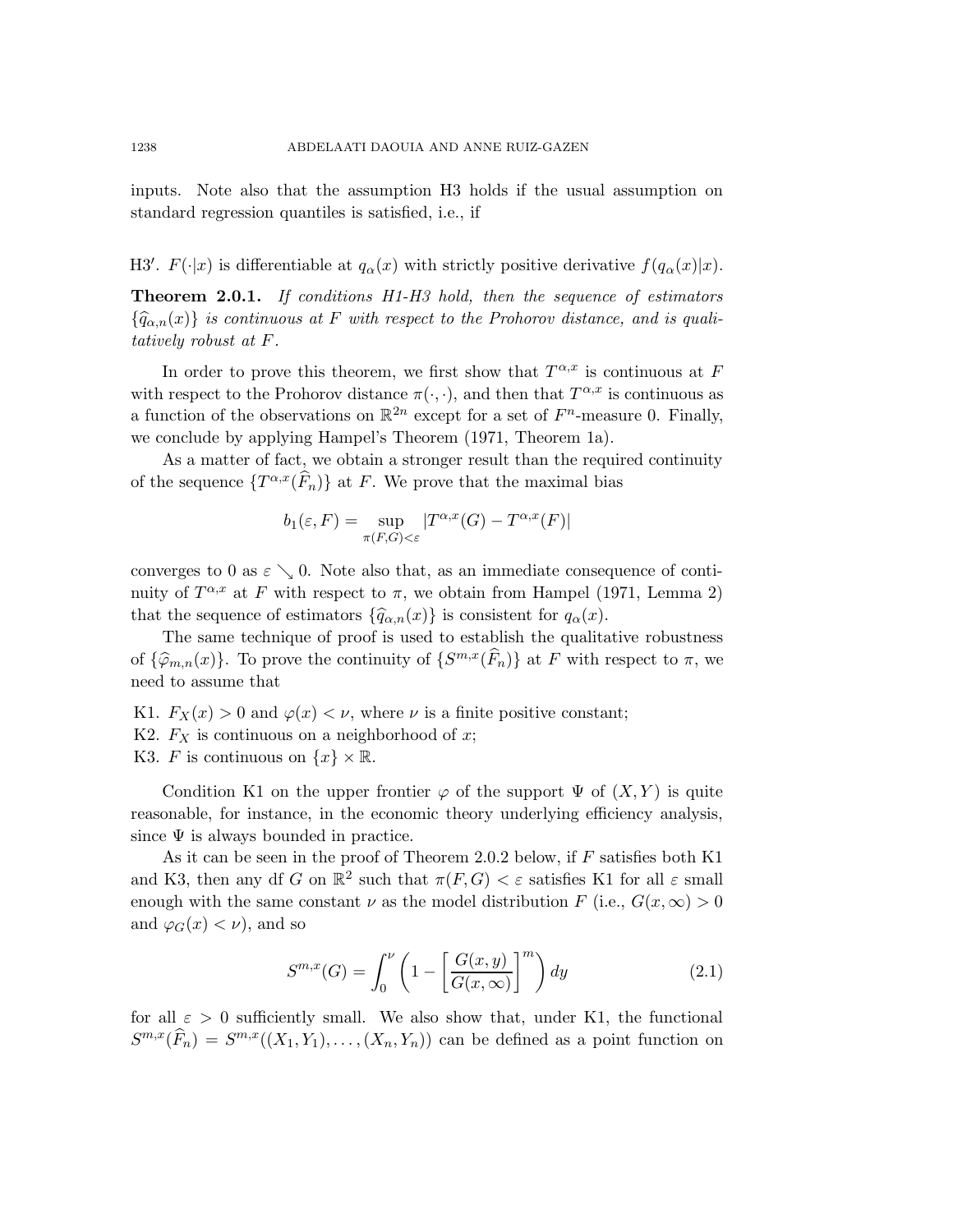inputs. Note also that the assumption H3 holds if the usual assumption on standard regression quantiles is satisfied, i.e., if

H3'.  $F(\cdot|x)$  is differentiable at  $q_{\alpha}(x)$  with strictly positive derivative  $f(q_{\alpha}(x)|x)$ .

Theorem 2.0.1. If conditions H1-H3 hold, then the sequence of estimators  ${\{\widehat{q}_{\alpha,n}(x)\}}$  is continuous at F with respect to the Prohorov distance, and is qualitatively robust at F.

In order to prove this theorem, we first show that  $T^{\alpha,x}$  is continuous at F with respect to the Prohorov distance  $\pi(\cdot, \cdot)$ , and then that  $T^{\alpha, x}$  is continuous as a function of the observations on  $\mathbb{R}^{2n}$  except for a set of  $F<sup>n</sup>$ -measure 0. Finally, we conclude by applying Hampel's Theorem (1971, Theorem 1a).

As a matter of fact, we obtain a stronger result than the required continuity of the sequence  $\{T^{\alpha,x}(\widehat{F}_n)\}\$ at F. We prove that the maximal bias

$$
b_1(\varepsilon, F) = \sup_{\pi(F,G) < \varepsilon} |T^{\alpha, x}(G) - T^{\alpha, x}(F)|
$$

converges to 0 as  $\varepsilon \searrow 0$ . Note also that, as an immediate consequence of continuity of  $T^{\alpha,x}$  at F with respect to  $\pi$ , we obtain from Hampel (1971, Lemma 2) that the sequence of estimators  $\{\widehat{q}_{\alpha,n}(x)\}\)$  is consistent for  $q_\alpha(x)$ .

The same technique of proof is used to establish the qualitative robustness of  $\{\widehat{\varphi}_{m,n}(x)\}\)$ . To prove the continuity of  $\{S^{m,x}(\widehat{F}_n)\}\)$  at F with respect to  $\pi$ , we need to assume that

K1.  $F_X(x) > 0$  and  $\varphi(x) < \nu$ , where  $\nu$  is a finite positive constant;

- K2.  $F_X$  is continuous on a neighborhood of x;
- K3. F is continuous on  $\{x\} \times \mathbb{R}$ .

Condition K1 on the upper frontier  $\varphi$  of the support  $\Psi$  of  $(X, Y)$  is quite reasonable, for instance, in the economic theory underlying efficiency analysis, since  $\Psi$  is always bounded in practice.

As it can be seen in the proof of Theorem 2.0.2 below, if  $F$  satisfies both K1 and K3, then any df G on  $\mathbb{R}^2$  such that  $\pi(F, G) < \varepsilon$  satisfies K1 for all  $\varepsilon$  small enough with the same constant  $\nu$  as the model distribution  $F$  (i.e.,  $G(x, \infty) > 0$ and  $\varphi_G(x) < \nu$ , and so

$$
S^{m,x}(G) = \int_0^{\nu} \left(1 - \left[\frac{G(x,y)}{G(x,\infty)}\right]^m\right) dy
$$
\n(2.1)

for all  $\varepsilon > 0$  sufficiently small. We also show that, under K1, the functional  $S^{m,x}(\widehat{F}_n) = S^{m,x}((X_1,Y_1),\ldots,(X_n,Y_n))$  can be defined as a point function on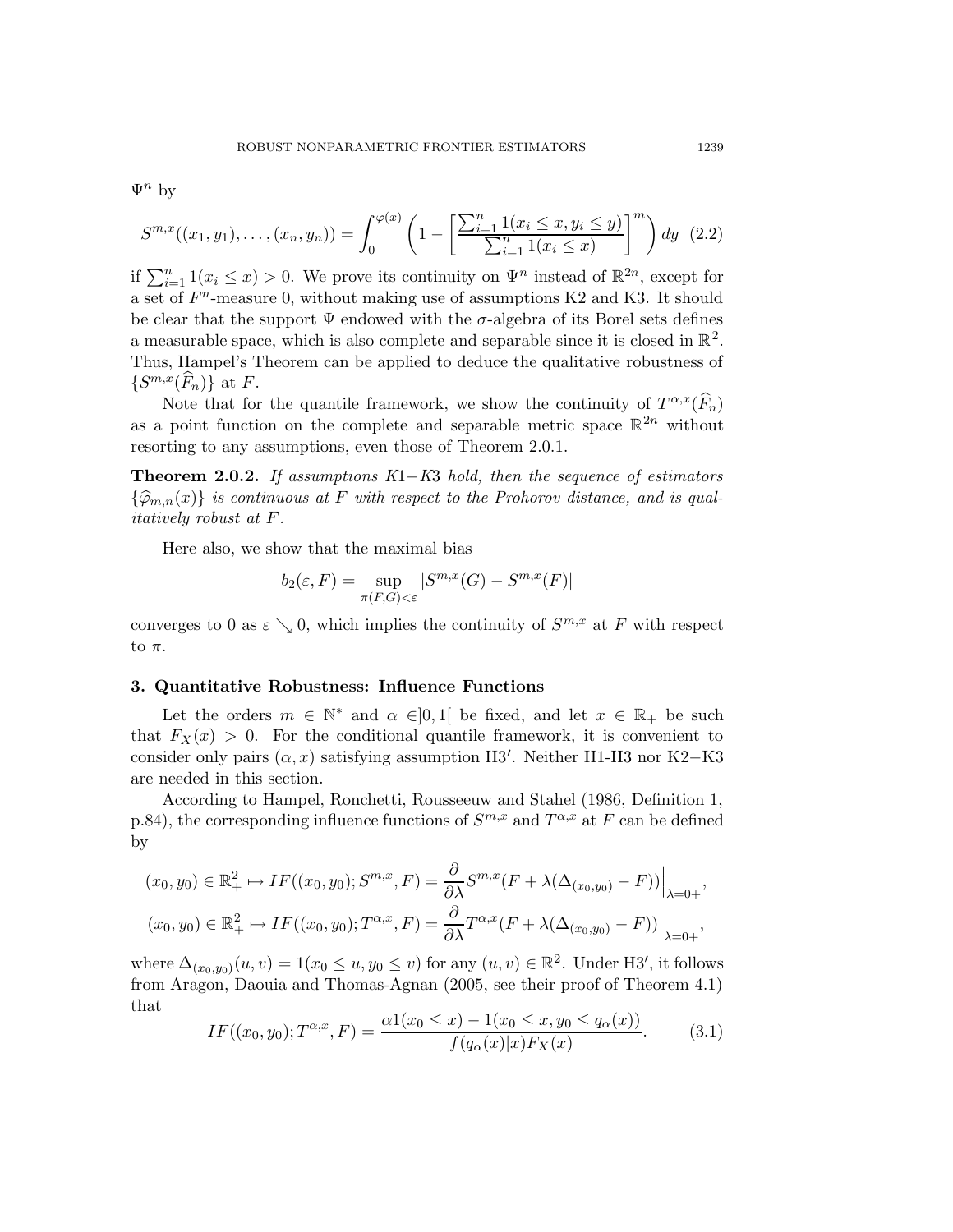$\Psi^n$  by

$$
S^{m,x}((x_1,y_1),\ldots,(x_n,y_n)) = \int_0^{\varphi(x)} \left(1 - \left[\frac{\sum_{i=1}^n 1(x_i \le x, y_i \le y)}{\sum_{i=1}^n 1(x_i \le x)}\right]^m\right) dy \tag{2.2}
$$

if  $\sum_{i=1}^{n} 1(x_i \leq x) > 0$ . We prove its continuity on  $\Psi^n$  instead of  $\mathbb{R}^{2n}$ , except for a set of  $F<sup>n</sup>$ -measure 0, without making use of assumptions K2 and K3. It should be clear that the support  $\Psi$  endowed with the  $\sigma$ -algebra of its Borel sets defines a measurable space, which is also complete and separable since it is closed in  $\mathbb{R}^2$ . Thus, Hampel's Theorem can be applied to deduce the qualitative robustness of  $\{S^{m,x}(\widehat{F}_n)\}\$ at F.

Note that for the quantile framework, we show the continuity of  $T^{\alpha,x}(\widehat{F}_n)$ as a point function on the complete and separable metric space  $\mathbb{R}^{2n}$  without resorting to any assumptions, even those of Theorem 2.0.1.

**Theorem 2.0.2.** If assumptions  $K1-K3$  hold, then the sequence of estimators  ${\widehat{\varphi}_{m,n}(x)}$  is continuous at F with respect to the Prohorov distance, and is qualitatively robust at F.

Here also, we show that the maximal bias

$$
b_2(\varepsilon, F) = \sup_{\pi(F,G) < \varepsilon} |S^{m,x}(G) - S^{m,x}(F)|
$$

converges to 0 as  $\varepsilon \searrow 0$ , which implies the continuity of  $S^{m,x}$  at F with respect to  $\pi$ .

### 3. Quantitative Robustness: Influence Functions

Let the orders  $m \in \mathbb{N}^*$  and  $\alpha \in ]0,1[$  be fixed, and let  $x \in \mathbb{R}_+$  be such that  $F_X(x) > 0$ . For the conditional quantile framework, it is convenient to consider only pairs  $(\alpha, x)$  satisfying assumption H3'. Neither H1-H3 nor K2–K3 are needed in this section.

According to Hampel, Ronchetti, Rousseeuw and Stahel (1986, Definition 1, p.84), the corresponding influence functions of  $S^{m,x}$  and  $T^{\alpha,x}$  at F can be defined by

$$
(x_0, y_0) \in \mathbb{R}^2_+ \mapsto IF((x_0, y_0); S^{m,x}, F) = \frac{\partial}{\partial \lambda} S^{m,x}(F + \lambda(\Delta_{(x_0, y_0)} - F)) \Big|_{\lambda = 0+},
$$
  

$$
(x_0, y_0) \in \mathbb{R}^2_+ \mapsto IF((x_0, y_0); T^{\alpha, x}, F) = \frac{\partial}{\partial \lambda} T^{\alpha, x}(F + \lambda(\Delta_{(x_0, y_0)} - F)) \Big|_{\lambda = 0+},
$$

<span id="page-6-0"></span>where  $\Delta_{(x_0,y_0)}(u,v) = 1(x_0 \le u, y_0 \le v)$  for any  $(u, v) \in \mathbb{R}^2$ . Under H3', it follows from Aragon, Daouia and Thomas-Agnan (2005, see their proof of Theorem 4.1) that

$$
IF((x_0, y_0); T^{\alpha, x}, F) = \frac{\alpha 1(x_0 \le x) - 1(x_0 \le x, y_0 \le q_\alpha(x))}{f(q_\alpha(x)|x)F_X(x)}.
$$
(3.1)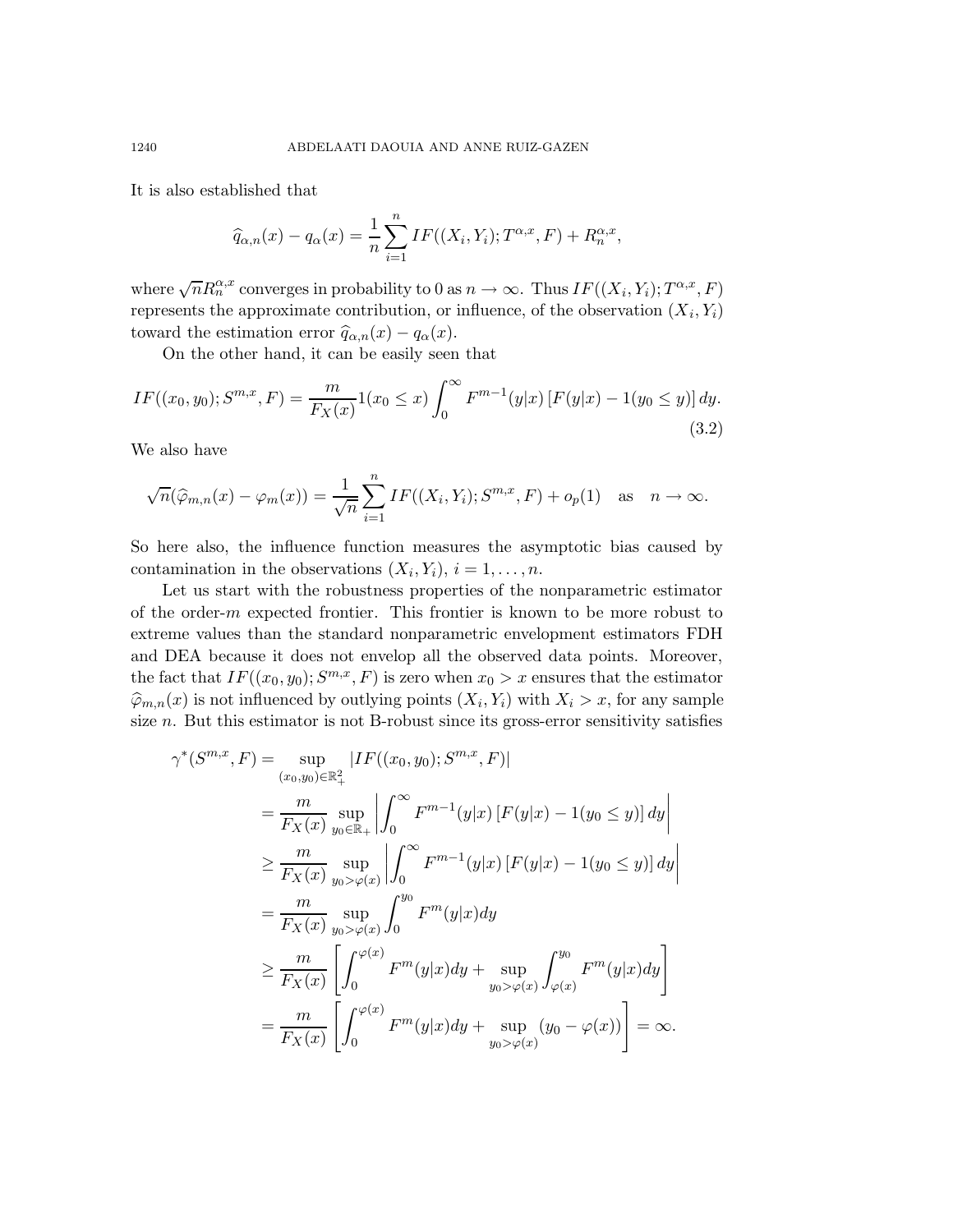It is also established that

<span id="page-7-0"></span>
$$
\widehat{q}_{\alpha,n}(x) - q_{\alpha}(x) = \frac{1}{n} \sum_{i=1}^{n} IF((X_i, Y_i); T^{\alpha,x}, F) + R_n^{\alpha,x},
$$

where  $\sqrt{n}R_n^{\alpha,x}$  converges in probability to 0 as  $n \to \infty$ . Thus  $IF((X_i, Y_i); T^{\alpha,x}, F)$ represents the approximate contribution, or influence, of the observation  $(X_i, Y_i)$ toward the estimation error  $\hat{q}_{\alpha,n}(x) - q_\alpha(x)$ .

On the other hand, it can be easily seen that

$$
IF((x_0, y_0); S^{m,x}, F) = \frac{m}{F_X(x)} 1(x_0 \le x) \int_0^\infty F^{m-1}(y|x) [F(y|x) - 1(y_0 \le y)] dy.
$$
\n(3.2)

We also have

$$
\sqrt{n}(\widehat{\varphi}_{m,n}(x) - \varphi_m(x)) = \frac{1}{\sqrt{n}} \sum_{i=1}^n IF((X_i, Y_i); S^{m,x}, F) + o_p(1) \text{ as } n \to \infty.
$$

So here also, the influence function measures the asymptotic bias caused by contamination in the observations  $(X_i, Y_i), i = 1, \ldots, n$ .

Let us start with the robustness properties of the nonparametric estimator of the order- $m$  expected frontier. This frontier is known to be more robust to extreme values than the standard nonparametric envelopment estimators FDH and DEA because it does not envelop all the observed data points. Moreover, the fact that  $IF((x_0, y_0); S^{m,x}, F)$  is zero when  $x_0 > x$  ensures that the estimator  $\widehat{\varphi}_{m,n}(x)$  is not influenced by outlying points  $(X_i, Y_i)$  with  $X_i > x$ , for any sample size  $n$ . But this estimator is not B-robust since its gross-error sensitivity satisfies

$$
\gamma^*(S^{m,x}, F) = \sup_{(x_0, y_0) \in \mathbb{R}_+^2} |IF((x_0, y_0); S^{m,x}, F)|
$$
  
\n
$$
= \frac{m}{F_X(x)} \sup_{y_0 \in \mathbb{R}_+} \left| \int_0^\infty F^{m-1}(y|x) [F(y|x) - 1(y_0 \le y)] dy \right|
$$
  
\n
$$
\ge \frac{m}{F_X(x)} \sup_{y_0 > \varphi(x)} \left| \int_0^\infty F^{m-1}(y|x) [F(y|x) - 1(y_0 \le y)] dy \right|
$$
  
\n
$$
= \frac{m}{F_X(x)} \sup_{y_0 > \varphi(x)} \int_0^{y_0} F^m(y|x) dy
$$
  
\n
$$
\ge \frac{m}{F_X(x)} \left[ \int_0^{\varphi(x)} F^m(y|x) dy + \sup_{y_0 > \varphi(x)} \int_{\varphi(x)}^{y_0} F^m(y|x) dy \right]
$$
  
\n
$$
= \frac{m}{F_X(x)} \left[ \int_0^{\varphi(x)} F^m(y|x) dy + \sup_{y_0 > \varphi(x)} (y_0 - \varphi(x)) \right] = \infty.
$$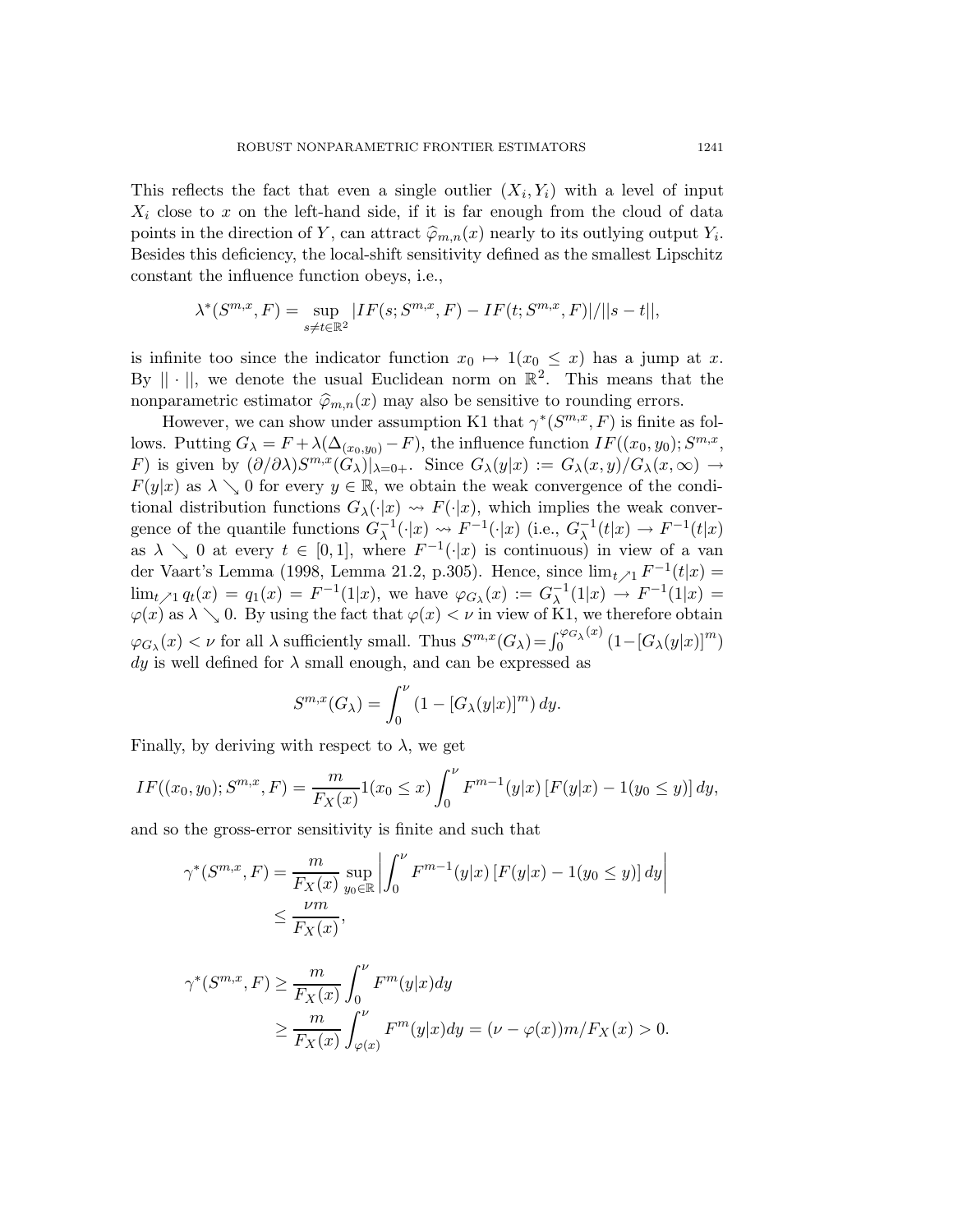This reflects the fact that even a single outlier  $(X_i, Y_i)$  with a level of input  $X_i$  close to x on the left-hand side, if it is far enough from the cloud of data points in the direction of Y, can attract  $\hat{\varphi}_{m,n}(x)$  nearly to its outlying output  $Y_i$ . Besides this deficiency, the local-shift sensitivity defined as the smallest Lipschitz constant the influence function obeys, i.e.,

$$
\lambda^*(S^{m,x}, F) = \sup_{s \neq t \in \mathbb{R}^2} |IF(s; S^{m,x}, F) - IF(t; S^{m,x}, F)| / ||s - t||,
$$

is infinite too since the indicator function  $x_0 \mapsto 1(x_0 \leq x)$  has a jump at x. By  $|| \cdot ||$ , we denote the usual Euclidean norm on  $\mathbb{R}^2$ . This means that the nonparametric estimator  $\widehat{\varphi}_{m,n}(x)$  may also be sensitive to rounding errors.

However, we can show under assumption K1 that  $\gamma^*(S^{m,x}, F)$  is finite as follows. Putting  $G_{\lambda} = F + \lambda(\Delta_{(x_0, y_0)} - F)$ , the influence function  $IF((x_0, y_0); S^{m,x},$ F) is given by  $(\partial/\partial\lambda)S^{m,x}(G_{\lambda})|_{\lambda=0+}$ . Since  $G_{\lambda}(y|x) := G_{\lambda}(x,y)/G_{\lambda}(x,\infty) \to$  $F(y|x)$  as  $\lambda \searrow 0$  for every  $y \in \mathbb{R}$ , we obtain the weak convergence of the conditional distribution functions  $G_{\lambda}(\cdot|x) \rightsquigarrow F(\cdot|x)$ , which implies the weak convergence of the quantile functions  $G_{\lambda}^{-1}$  $\lambda^{-1}(\cdot|x) \leadsto F^{-1}(\cdot|x)$  (i.e.,  $G_{\lambda}^{-1}$  $\lambda^{-1}(t|x) \to F^{-1}(t|x)$ as  $\lambda \searrow 0$  at every  $t \in [0,1]$ , where  $F^{-1}(\cdot|x)$  is continuous) in view of a van der Vaart's Lemma (1998, Lemma 21.2, p.305). Hence, since  $\lim_{t \nearrow 1} F^{-1}(t|x) =$  $\lim_{t \nearrow 1} q_t(x) = q_1(x) = F^{-1}(1|x)$ , we have  $\varphi_{G_\lambda}(x) := G_\lambda^{-1}$  $_{\lambda}^{-1}(1|x) \rightarrow F^{-1}(1|x) =$  $\varphi(x)$  as  $\lambda \searrow 0$ . By using the fact that  $\varphi(x) < \nu$  in view of K1, we therefore obtain  $\varphi_{G_{\lambda}}(x) < \nu$  for all  $\lambda$  sufficiently small. Thus  $S^{m,x}(G_{\lambda}) = \int_0^{\varphi_{G_{\lambda}}(x)}$  $\int_0^{\sqrt{\varphi}G_\lambda(x)}(1-[G_\lambda(y|x)]^m)$  $dy$  is well defined for  $\lambda$  small enough, and can be expressed as

$$
S^{m,x}(G_\lambda) = \int_0^\nu \left(1 - [G_\lambda(y|x)]^m\right) dy.
$$

Finally, by deriving with respect to  $\lambda$ , we get

$$
IF((x_0, y_0); S^{m,x}, F) = \frac{m}{F_X(x)} 1(x_0 \le x) \int_0^{\nu} F^{m-1}(y|x) [F(y|x) - 1(y_0 \le y)] dy,
$$

and so the gross-error sensitivity is finite and such that

$$
\gamma^*(S^{m,x}, F) = \frac{m}{F_X(x)} \sup_{y_0 \in \mathbb{R}} \left| \int_0^{\nu} F^{m-1}(y|x) \left[ F(y|x) - 1(y_0 \le y) \right] dy \right|
$$
  
 
$$
\le \frac{\nu m}{F_X(x)},
$$

$$
\gamma^*(S^{m,x}, F) \ge \frac{m}{F_X(x)} \int_0^{\nu} F^m(y|x) dy
$$
  
 
$$
\ge \frac{m}{F_X(x)} \int_{\varphi(x)}^{\nu} F^m(y|x) dy = (\nu - \varphi(x))m/F_X(x) > 0.
$$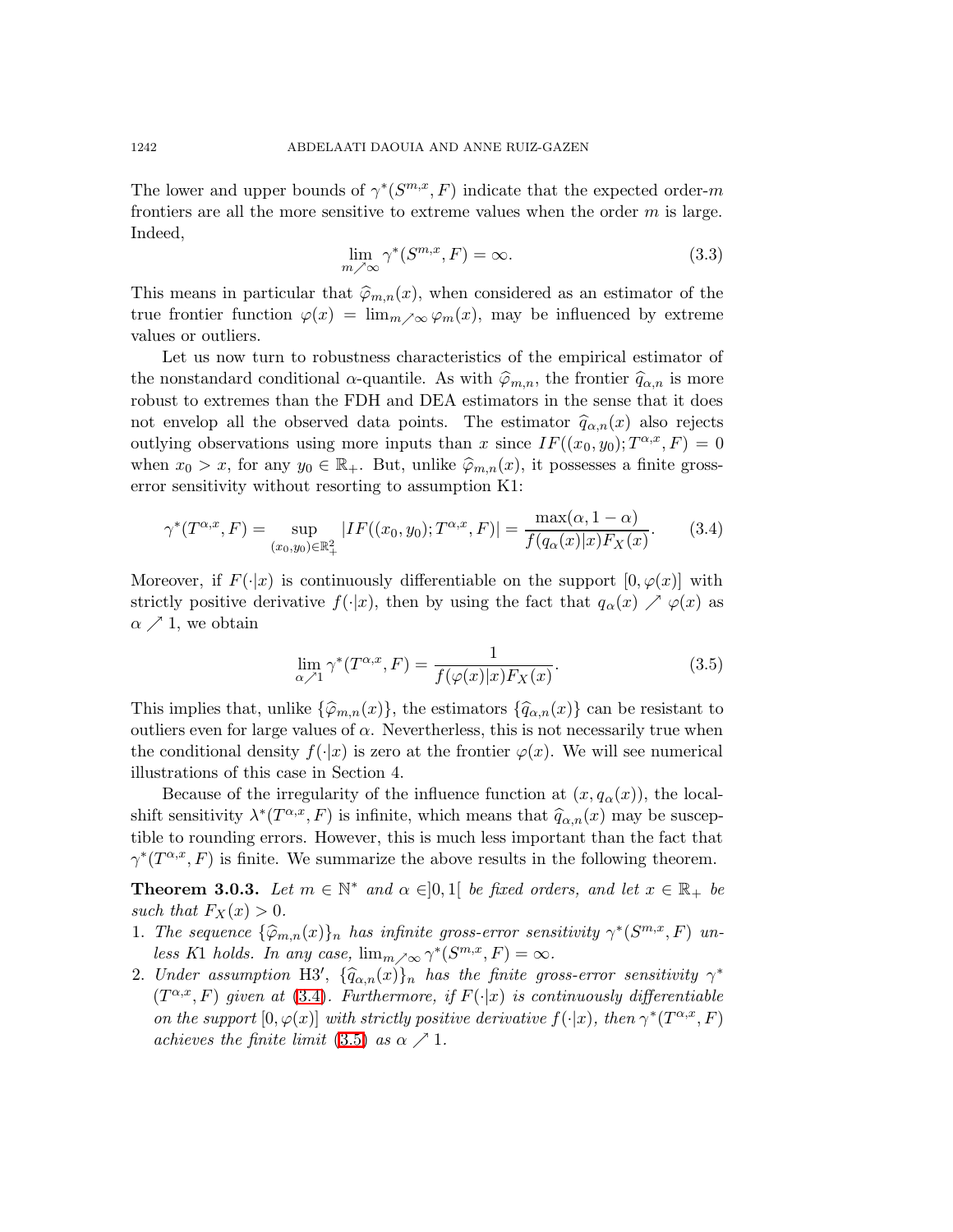<span id="page-9-2"></span>The lower and upper bounds of  $\gamma^*(S^{m,x}, F)$  indicate that the expected order-m frontiers are all the more sensitive to extreme values when the order  $m$  is large. Indeed,

<span id="page-9-0"></span>
$$
\lim_{m \nearrow \infty} \gamma^*(S^{m,x}, F) = \infty. \tag{3.3}
$$

This means in particular that  $\hat{\varphi}_{m,n}(x)$ , when considered as an estimator of the true frontier function  $\varphi(x) = \lim_{m \nearrow \infty} \varphi_m(x)$ , may be influenced by extreme values or outliers.

Let us now turn to robustness characteristics of the empirical estimator of the nonstandard conditional  $\alpha$ -quantile. As with  $\hat{\varphi}_{m,n}$ , the frontier  $\hat{q}_{\alpha,n}$  is more robust to extremes than the FDH and DEA estimators in the sense that it does not envelop all the observed data points. The estimator  $\hat{q}_{\alpha,n}(x)$  also rejects outlying observations using more inputs than x since  $IF((x_0, y_0); T^{\alpha,x}, F) = 0$ when  $x_0 > x$ , for any  $y_0 \in \mathbb{R}_+$ . But, unlike  $\hat{\varphi}_{m,n}(x)$ , it possesses a finite grosserror sensitivity without resorting to assumption K1:

$$
\gamma^*(T^{\alpha,x}, F) = \sup_{(x_0, y_0) \in \mathbb{R}_+^2} |IF((x_0, y_0); T^{\alpha,x}, F)| = \frac{\max(\alpha, 1 - \alpha)}{f(q_\alpha(x)|x)F_X(x)}.\tag{3.4}
$$

<span id="page-9-1"></span>Moreover, if  $F(\cdot|x)$  is continuously differentiable on the support  $[0, \varphi(x)]$  with strictly positive derivative  $f(\cdot|x)$ , then by using the fact that  $q_\alpha(x) \nearrow \varphi(x)$  as  $\alpha \nearrow 1$ , we obtain

$$
\lim_{\alpha \nearrow 1} \gamma^*(T^{\alpha,x}, F) = \frac{1}{f(\varphi(x)|x)F_X(x)}.\tag{3.5}
$$

This implies that, unlike  $\{\widehat{\varphi}_{m,n}(x)\}\)$ , the estimators  $\{\widehat{q}_{\alpha,n}(x)\}\)$  can be resistant to outliers even for large values of  $\alpha$ . Nevertherless, this is not necessarily true when the conditional density  $f(\cdot|x)$  is zero at the frontier  $\varphi(x)$ . We will see numerical illustrations of this case in Section 4.

Because of the irregularity of the influence function at  $(x, q<sub>\alpha</sub>(x))$ , the localshift sensitivity  $\lambda^*(T^{\alpha,x}, F)$  is infinite, which means that  $\hat{q}_{\alpha,n}(x)$  may be susceptible to rounding errors. However, this is much less important than the fact that  $\gamma^*(T^{\alpha,x},F)$  is finite. We summarize the above results in the following theorem.

**Theorem 3.0.3.** Let  $m \in \mathbb{N}^*$  and  $\alpha \in ]0,1[$  be fixed orders, and let  $x \in \mathbb{R}_+$  be such that  $F_X(x) > 0$ .

- 1. The sequence  $\{\widehat{\varphi}_{m,n}(x)\}_n$  has infinite gross-error sensitivity  $\gamma^*(S^{m,x},F)$  unless K1 holds. In any case,  $\lim_{m \nearrow \infty} \gamma^*(S^{m,x}, F) = \infty$ .
- 2. Under assumption H3',  $\{\widehat{q}_{\alpha,n}(x)\}_n$  has the finite gross-error sensitivity  $\gamma^*$ <br> $\{F(x), F(y)\}_n$  is  $F(y)$  $(T^{\alpha,x},F)$  given at [\(3.4\)](#page-9-0). Furthermore, if  $F(\cdot|x)$  is continuously differentiable on the support  $[0, \varphi(x)]$  with strictly positive derivative  $f(\cdot|x)$ , then  $\gamma^*(T^{\alpha,x}, F)$ achieves the finite limit  $(3.5)$  as  $\alpha \nearrow 1$ .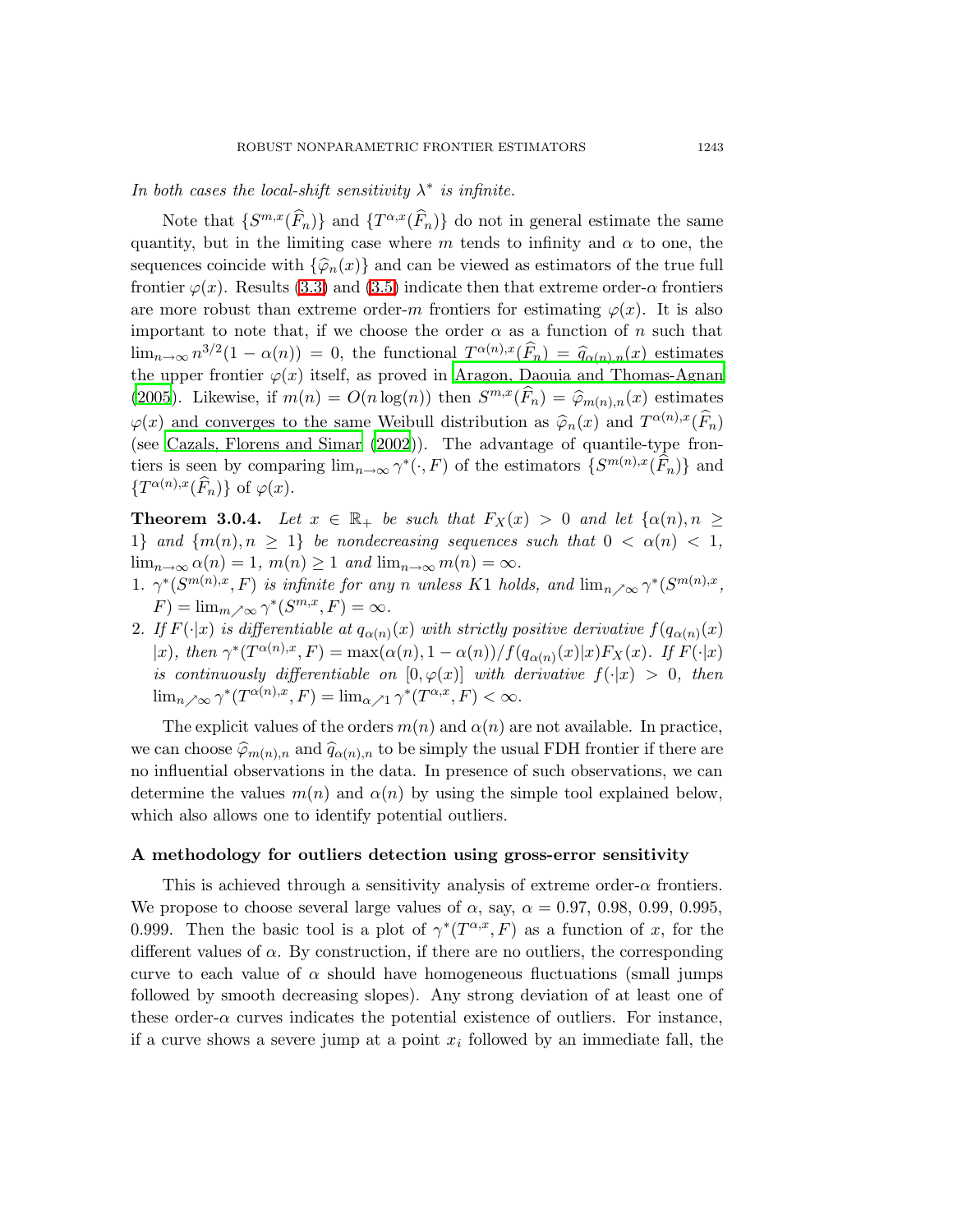Note that  $\{S^{m,x}(\widehat{F}_n)\}\$  and  $\{T^{\alpha,x}(\widehat{F}_n)\}\$  do not in general estimate the same quantity, but in the limiting case where m tends to infinity and  $\alpha$  to one, the sequences coincide with  $\{\hat{\varphi}_n(x)\}\$  and can be viewed as estimators of the true full frontier  $\varphi(x)$ . Results [\(3.3\)](#page-9-2) and [\(3.5\)](#page-9-1) indicate then that extreme order- $\alpha$  frontiers are more robust than extreme order-m frontiers for estimating  $\varphi(x)$ . It is also important to note that, if we choose the order  $\alpha$  as a function of n such that  $\lim_{n\to\infty} n^{3/2} (1-\alpha(n)) = 0$ , the functional  $T^{\alpha(n),x}(\widehat{F}_n) = \widehat{q}_{\alpha(n),n}(x)$  estimates the upper frontier  $\varphi(x)$  itself, as proved in Aragon, Daouia and [Thomas-Agnan](#page-19-1) [\(2005](#page-19-1)). Likewise, if  $m(n) = O(n \log(n))$  then  $S^{m,x}(\widehat{F}_n) = \widehat{\varphi}_{m(n),n}(x)$  estimates  $\varphi(x)$  and converges to the same Weibull distribution as  $\widehat{\varphi}_n(x)$  and  $T^{\alpha(n),x}(\widehat{F}_n)$ (see Cazals, [Florens](#page-19-0) and Simar [\(2002\)](#page-19-0)). The advantage of quantile-type frontiers is seen by comparing  $\lim_{n\to\infty} \gamma^*(\cdot, F)$  of the estimators  $\{S^{m(n),x}(\widehat{F}_n)\}\$  and  $\{T^{\alpha(n),x}(\widehat{F}_n)\}\,$  of  $\varphi(x)$ .

**Theorem 3.0.4.** Let  $x \in \mathbb{R}_+$  be such that  $F_X(x) > 0$  and let  $\{\alpha(n), n \geq 0\}$ 1} and  $\{m(n), n \geq 1\}$  be nondecreasing sequences such that  $0 < \alpha(n) < 1$ ,  $\lim_{n\to\infty} \alpha(n) = 1, m(n) \geq 1$  and  $\lim_{n\to\infty} m(n) = \infty$ .

1.  $\gamma^*(S^{m(n),x}, F)$  is infinite for any n unless K1 holds, and  $\lim_{n \nearrow \infty} \gamma^*(S^{m(n),x}, F)$  $F) = \lim_{m \nearrow \infty} \gamma^*(S^{m,x}, F) = \infty.$ 

2. If  $F(\cdot|x)$  is differentiable at  $q_{\alpha(n)}(x)$  with strictly positive derivative  $f(q_{\alpha(n)}(x))$ |x), then  $\gamma^*(T^{\alpha(n),x}, F) = \max(\alpha(n), 1 - \alpha(n))/f(q_{\alpha(n)}(x)|x)F_X(x)$ . If  $F(\cdot|x)$ is continuously differentiable on  $[0,\varphi(x)]$  with derivative  $f(\cdot|x) > 0$ , then  $\lim_{n \nearrow \infty} \gamma^*(T^{\alpha(n),x}, F) = \lim_{\alpha \nearrow 1} \gamma^*(T^{\alpha,x}, F) < \infty.$ 

The explicit values of the orders  $m(n)$  and  $\alpha(n)$  are not available. In practice, we can choose  $\widehat{\varphi}_{m(n),n}$  and  $\widehat{q}_{\alpha(n),n}$  to be simply the usual FDH frontier if there are no influential observations in the data. In presence of such observations, we can determine the values  $m(n)$  and  $\alpha(n)$  by using the simple tool explained below, which also allows one to identify potential outliers.

#### A methodology for outliers detection using gross-error sensitivity

This is achieved through a sensitivity analysis of extreme order- $\alpha$  frontiers. We propose to choose several large values of  $\alpha$ , say,  $\alpha = 0.97, 0.98, 0.99, 0.995$ , 0.999. Then the basic tool is a plot of  $\gamma^*(T^{\alpha,x},F)$  as a function of x, for the different values of  $\alpha$ . By construction, if there are no outliers, the corresponding curve to each value of  $\alpha$  should have homogeneous fluctuations (small jumps followed by smooth decreasing slopes). Any strong deviation of at least one of these order- $\alpha$  curves indicates the potential existence of outliers. For instance, if a curve shows a severe jump at a point  $x_i$  followed by an immediate fall, the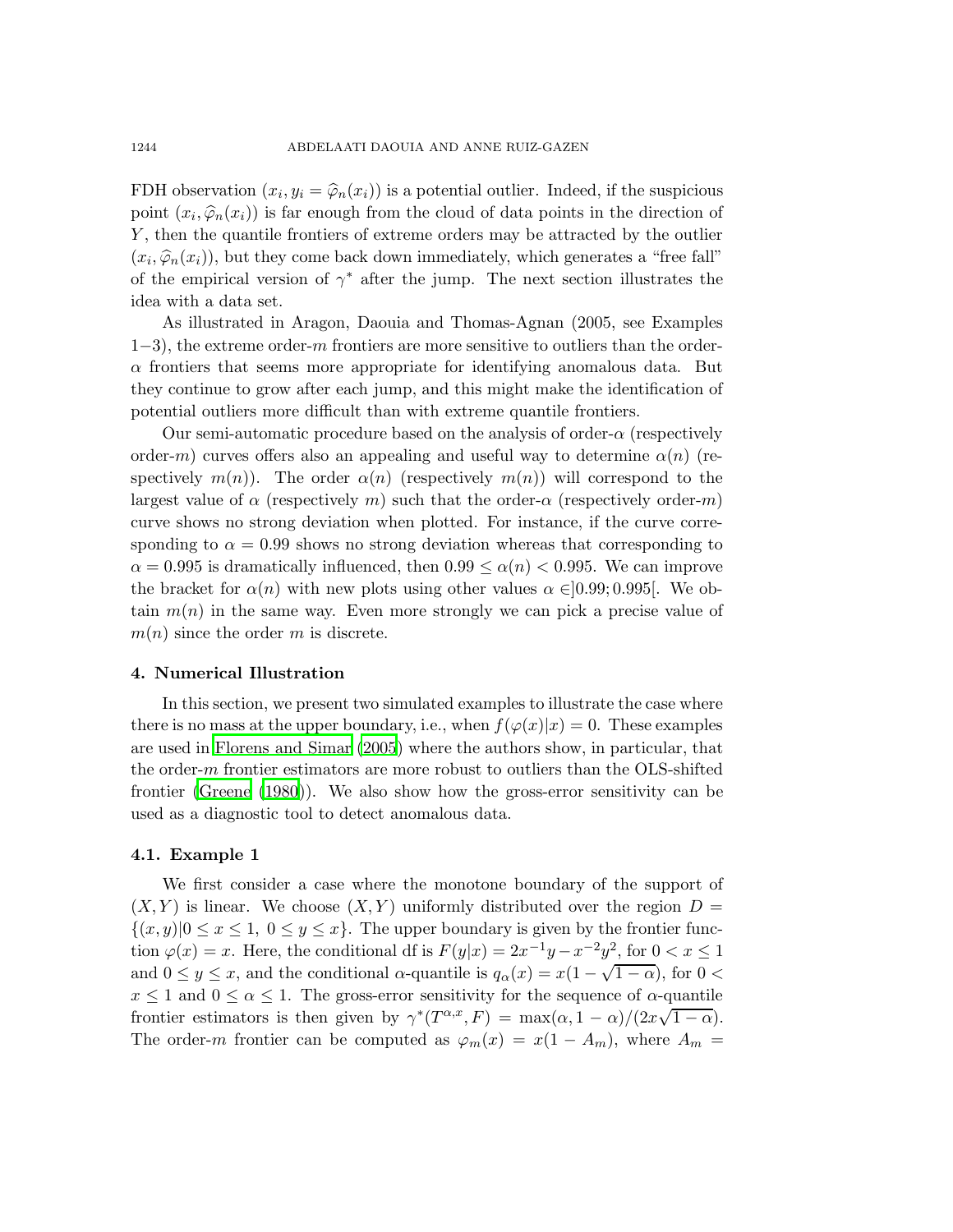FDH observation  $(x_i, y_i = \hat{\varphi}_n(x_i))$  is a potential outlier. Indeed, if the suspicious point  $(x_i, \hat{\varphi}_n(x_i))$  is far enough from the cloud of data points in the direction of Y, then the quantile frontiers of extreme orders may be attracted by the outlier  $(x_i, \hat{\varphi}_n(x_i))$ , but they come back down immediately, which generates a "free fall" of the empirical version of  $\gamma^*$  after the jump. The next section illustrates the idea with a data set.

As illustrated in Aragon, Daouia and Thomas-Agnan (2005, see Examples 1−3), the extreme order-m frontiers are more sensitive to outliers than the order- $\alpha$  frontiers that seems more appropriate for identifying anomalous data. But they continue to grow after each jump, and this might make the identification of potential outliers more difficult than with extreme quantile frontiers.

Our semi-automatic procedure based on the analysis of order- $\alpha$  (respectively order-m) curves offers also an appealing and useful way to determine  $\alpha(n)$  (respectively  $m(n)$ . The order  $\alpha(n)$  (respectively  $m(n)$ ) will correspond to the largest value of  $\alpha$  (respectively m) such that the order- $\alpha$  (respectively order-m) curve shows no strong deviation when plotted. For instance, if the curve corresponding to  $\alpha = 0.99$  shows no strong deviation whereas that corresponding to  $\alpha = 0.995$  is dramatically influenced, then  $0.99 \leq \alpha(n) < 0.995$ . We can improve the bracket for  $\alpha(n)$  with new plots using other values  $\alpha \in ]0.99; 0.995]$ . We obtain  $m(n)$  in the same way. Even more strongly we can pick a precise value of  $m(n)$  since the order m is discrete.

### 4. Numerical Illustration

In this section, we present two simulated examples to illustrate the case where there is no mass at the upper boundary, i.e., when  $f(\varphi(x)|x) = 0$ . These examples are used in [Florens](#page-19-8) and Simar [\(2005](#page-19-8)) where the authors show, in particular, that the order- $m$  frontier estimators are more robust to outliers than the OLS-shifted frontier [\(Greene](#page-19-9) [\(1980](#page-19-9))). We also show how the gross-error sensitivity can be used as a diagnostic tool to detect anomalous data.

### 4.1. Example 1

We first consider a case where the monotone boundary of the support of  $(X, Y)$  is linear. We choose  $(X, Y)$  uniformly distributed over the region  $D =$  $\{(x, y)|0 \le x \le 1, 0 \le y \le x\}.$  The upper boundary is given by the frontier function  $\varphi(x) = x$ . Here, the conditional df is  $F(y|x) = 2x^{-1}y - x^{-2}y^2$ , for  $0 < x \le 1$ and  $0 \le y \le x$ , and the conditional  $\alpha$ -quantile is  $q_{\alpha}(x) = x(1 - \sqrt{1 - \alpha})$ , for  $0 <$  $x \leq 1$  and  $0 \leq \alpha \leq 1$ . The gross-error sensitivity for the sequence of  $\alpha$ -quantile frontier estimators is then given by  $\gamma^*(T^{\alpha,x}, F) = \max(\alpha, 1 - \alpha)/(2\alpha\sqrt{1 - \alpha}).$ The order-m frontier can be computed as  $\varphi_m(x) = x(1 - A_m)$ , where  $A_m =$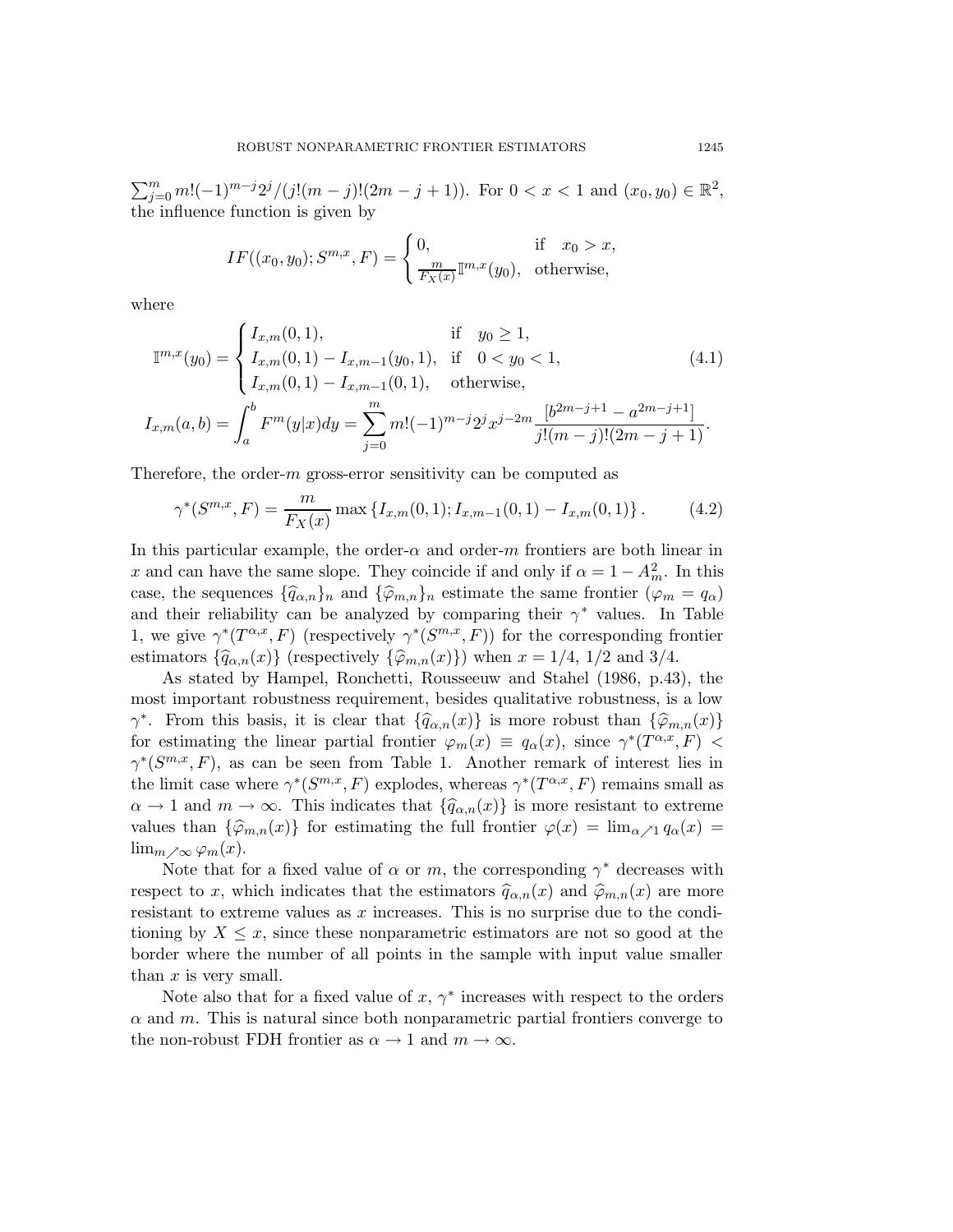$\sum_{j=0}^{m} m!(-1)^{m-j} 2^j/(j!(m-j)!(2m-j+1)).$  For  $0 < x < 1$  and  $(x_0, y_0) \in \mathbb{R}^2$ , the influence function is given by

$$
IF((x_0, y_0); S^{m,x}, F) = \begin{cases} 0, & \text{if } x_0 > x, \\ \frac{m}{F_X(x)} \mathbb{I}^{m,x}(y_0), & \text{otherwise,} \end{cases}
$$

<span id="page-12-0"></span>where

$$
\mathbb{I}^{m,x}(y_0) = \begin{cases} I_{x,m}(0,1), & \text{if } y_0 \ge 1, \\ I_{x,m}(0,1) - I_{x,m-1}(y_0,1), & \text{if } 0 < y_0 < 1, \\ I_{x,m}(0,1) - I_{x,m-1}(0,1), & \text{otherwise,} \end{cases} \tag{4.1}
$$
\n
$$
I_{x,m}(a,b) = \int_a^b F^m(y|x) dy = \sum_{j=0}^m m!(-1)^{m-j} 2^j x^{j-2m} \frac{[b^{2m-j+1} - a^{2m-j+1}]}{j!(m-j)!(2m-j+1)}.
$$

Therefore, the order- $m$  gross-error sensitivity can be computed as

<span id="page-12-1"></span>
$$
\gamma^*(S^{m,x}, F) = \frac{m}{F_X(x)} \max \left\{ I_{x,m}(0,1); I_{x,m-1}(0,1) - I_{x,m}(0,1) \right\}. \tag{4.2}
$$

In this particular example, the order- $\alpha$  and order- $m$  frontiers are both linear in x and can have the same slope. They coincide if and only if  $\alpha = 1 - A_m^2$ . In this case, the sequences  ${\{\widehat{q}_{\alpha,n}\}}_n$  and  ${\{\widehat{\varphi}_{m,n}\}}_n$  estimate the same frontier  $(\varphi_m = q_\alpha)$ and their reliability can be analyzed by comparing their  $\gamma^*$  values. In Table 1, we give  $\gamma^*(T^{\alpha,x},F)$  (respectively  $\gamma^*(S^{m,x},F)$ ) for the corresponding frontier estimators  $\{\widehat{q}_{\alpha,n}(x)\}$  (respectively  $\{\widehat{\varphi}_{m,n}(x)\}\)$  when  $x = 1/4, 1/2$  and 3/4.

As stated by Hampel, Ronchetti, Rousseeuw and Stahel (1986, p.43), the most important robustness requirement, besides qualitative robustness, is a low  $\gamma^*$ . From this basis, it is clear that  $\{\widehat{q}_{\alpha,n}(x)\}$  is more robust than  $\{\widehat{\varphi}_{m,n}(x)\}$ for estimating the linear partial frontier  $\varphi_m(x) \equiv q_\alpha(x)$ , since  $\gamma^*(T^{\alpha,x},F)$  $\gamma^*(S^{m,x}, F)$ , as can be seen from Table 1. Another remark of interest lies in the limit case where  $\gamma^*(S^{m,x}, F)$  explodes, whereas  $\gamma^*(T^{\alpha,x}, F)$  remains small as  $\alpha \to 1$  and  $m \to \infty$ . This indicates that  $\{\widehat{q}_{\alpha,n}(x)\}\)$  is more resistant to extreme values than  $\{\hat{\varphi}_{m,n}(x)\}\$ for estimating the full frontier  $\varphi(x) = \lim_{\alpha \nearrow 1} q_\alpha(x) =$  $\lim_{m \nearrow \infty} \varphi_m(x)$ .

Note that for a fixed value of  $\alpha$  or m, the corresponding  $\gamma^*$  decreases with respect to x, which indicates that the estimators  $\hat{q}_{\alpha,n}(x)$  and  $\hat{\varphi}_{m,n}(x)$  are more resistant to extreme values as x increases. This is no surprise due to the conditioning by  $X \leq x$ , since these nonparametric estimators are not so good at the border where the number of all points in the sample with input value smaller than  $x$  is very small.

Note also that for a fixed value of  $x, \gamma^*$  increases with respect to the orders  $\alpha$  and  $m$ . This is natural since both nonparametric partial frontiers converge to the non-robust FDH frontier as  $\alpha \to 1$  and  $m \to \infty$ .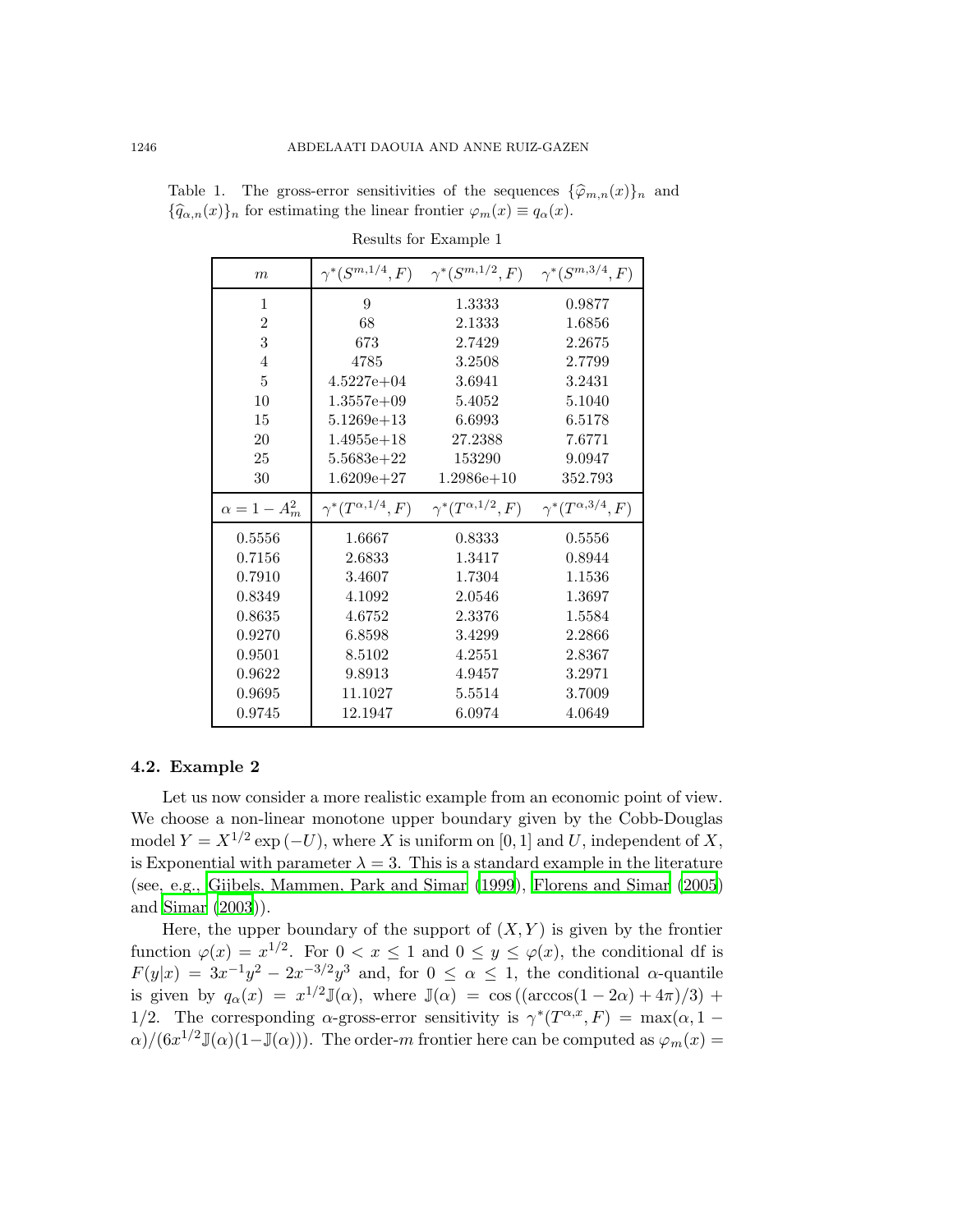| m                    | $\gamma^*(S^{m,1/4},F)$      | $\gamma^*(S^{m,1/2},F)$ $\gamma^*(S^{m,3/4},F)$ |                              |
|----------------------|------------------------------|-------------------------------------------------|------------------------------|
| 1                    | 9                            | 1.3333                                          | 0.9877                       |
| $\overline{2}$       | 68                           | 2.1333                                          | 1.6856                       |
| 3                    | 673                          | 2.7429                                          | 2.2675                       |
| $\overline{4}$       | 4785                         | 3.2508                                          | 2.7799                       |
| $\overline{5}$       | $4.5227e+04$                 | 3.6941                                          | 3.2431                       |
| 10                   | $1.3557e+09$                 | 5.4052                                          | 5.1040                       |
| 15                   | $5.1269e + 13$               | 6.6993                                          | 6.5178                       |
| 20                   | $1.4955e+18$                 | 27.2388                                         | 7.6771                       |
| 25                   | $5.5683e + 22$               | 153290                                          | 9.0947                       |
| 30                   | $1.6209e + 27$               | $1.2986e+10$                                    | 352.793                      |
| $\alpha = 1 - A_m^2$ | $\gamma^*(T^{\alpha,1/4},F)$ | $\gamma^*(T^{\alpha,1/2},F)$                    | $\gamma^*(T^{\alpha,3/4},F)$ |
| 0.5556               | 1.6667                       | 0.8333                                          |                              |
|                      |                              |                                                 | 0.5556                       |
| 0.7156               | 2.6833                       | 1.3417                                          | 0.8944                       |
| 0.7910               | 3.4607                       | 1.7304                                          | 1.1536                       |
| 0.8349               | 4.1092                       | 2.0546                                          | 1.3697                       |
| 0.8635               | 4.6752                       | 2.3376                                          | 1.5584                       |
| 0.9270               | 6.8598                       | 3.4299                                          | 2.2866                       |
| 0.9501               | 8.5102                       | 4.2551                                          | 2.8367                       |
| 0.9622               | 9.8913                       | 4.9457                                          | 3.2971                       |
| 0.9695               | 11.1027                      | 5.5514                                          | 3.7009                       |

Table 1. The gross-error sensitivities of the sequences  $\{\hat{\varphi}_{m,n}(x)\}_n$  and  ${\{\widehat{q}_{\alpha,n}(x)\}}_n$  for estimating the linear frontier  $\varphi_m(x) \equiv q_\alpha(x)$ .

Results for Example 1

#### 4.2. Example 2

Let us now consider a more realistic example from an economic point of view. We choose a non-linear monotone upper boundary given by the Cobb-Douglas model  $Y = X^{1/2} \exp(-U)$ , where X is uniform on [0, 1] and U, independent of X, is Exponential with parameter  $\lambda = 3$ . This is a standard example in the literature (see, e.g., Gijbels, [Mammen,](#page-19-10) Park and Simar [\(1999\)](#page-19-10), [Florens](#page-19-8) and Simar [\(2005](#page-19-8)) and [Simar](#page-20-4) [\(2003](#page-20-4))).

Here, the upper boundary of the support of  $(X, Y)$  is given by the frontier function  $\varphi(x) = x^{1/2}$ . For  $0 < x \le 1$  and  $0 \le y \le \varphi(x)$ , the conditional df is  $F(y|x) = 3x^{-1}y^2 - 2x^{-3/2}y^3$  and, for  $0 \le \alpha \le 1$ , the conditional  $\alpha$ -quantile is given by  $q_{\alpha}(x) = x^{1/2} \mathbb{J}(\alpha)$ , where  $\mathbb{J}(\alpha) = \cos((\arccos(1-2\alpha) + 4\pi)/3)$  + 1/2. The corresponding  $\alpha$ -gross-error sensitivity is  $\gamma^*(T^{\alpha,x},F) = \max(\alpha, 1 \alpha$ /(6 $x^{1/2}$ J( $\alpha$ )(1-J( $\alpha$ ))). The order-m frontier here can be computed as  $\varphi_m(x)$  =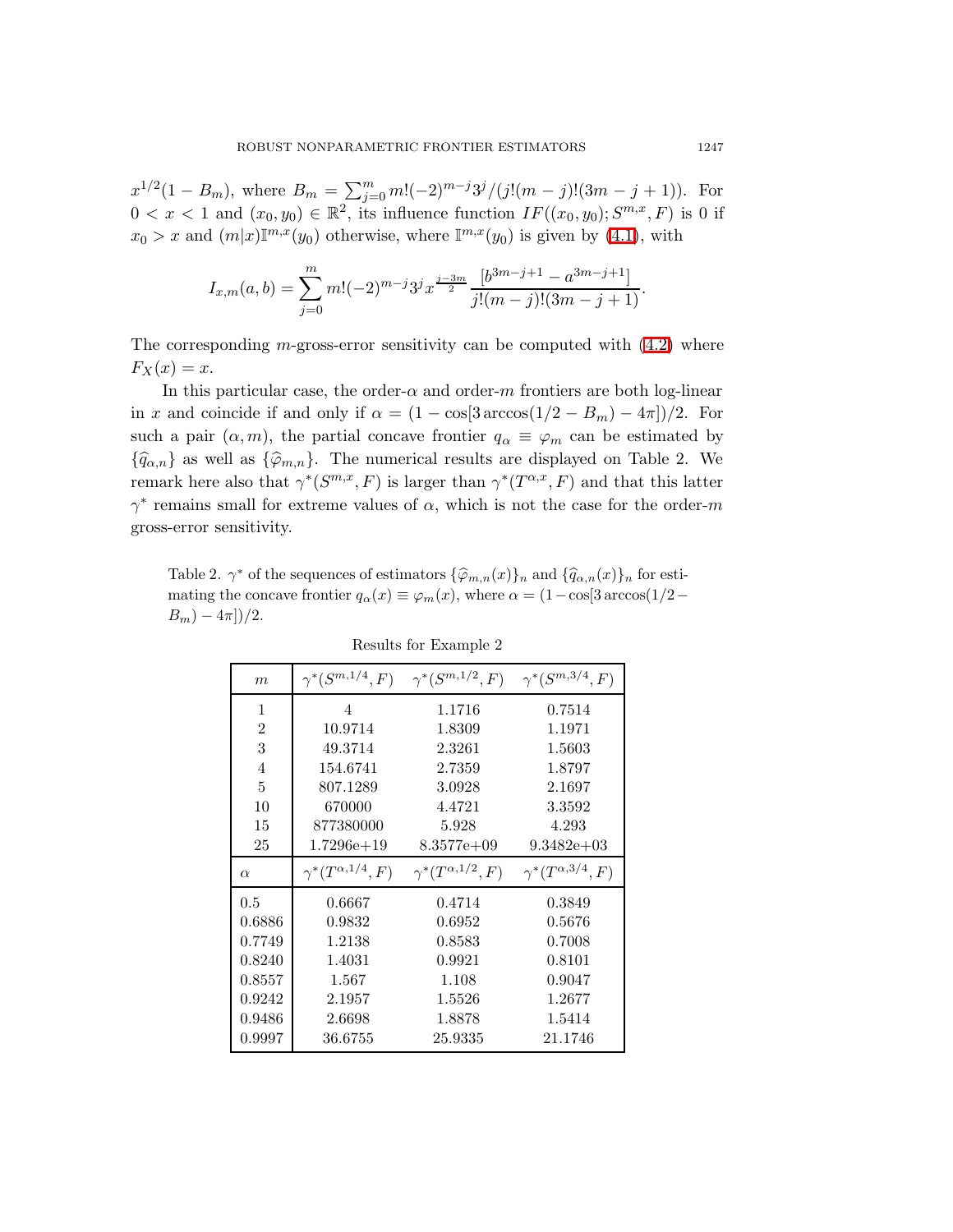$x^{1/2}(1-B_m)$ , where  $B_m = \sum_{j=0}^m m!(-2)^{m-j}3^j/(j!(m-j)!(3m-j+1))$ . For  $0 < x < 1$  and  $(x_0, y_0) \in \mathbb{R}^2$ , its influence function  $IF((x_0, y_0); S^{m,x}, F)$  is 0 if  $x_0 > x$  and  $(m|x)\mathbb{I}^{m,x}(y_0)$  otherwise, where  $\mathbb{I}^{m,x}(y_0)$  is given by [\(4.1\)](#page-12-0), with

$$
I_{x,m}(a,b) = \sum_{j=0}^{m} m!(-2)^{m-j} 3^j x^{\frac{j-3m}{2}} \frac{[b^{3m-j+1} - a^{3m-j+1}]}{j!(m-j)!(3m-j+1)}.
$$

The corresponding m-gross-error sensitivity can be computed with  $(4.2)$  where  $F_X(x) = x.$ 

In this particular case, the order- $\alpha$  and order-m frontiers are both log-linear in x and coincide if and only if  $\alpha = (1 - \cos[3 \arccos(1/2 - B_m) - 4\pi])/2$ . For such a pair  $(\alpha, m)$ , the partial concave frontier  $q_{\alpha} \equiv \varphi_m$  can be estimated by  ${\{\widehat{q}_{\alpha,n}\}}$  as well as  ${\{\widehat{\varphi}_{m,n}\}}$ . The numerical results are displayed on Table 2. We remark here also that  $\gamma^*(S^{m,x}, F)$  is larger than  $\gamma^*(T^{\alpha,x}, F)$  and that this latter  $\gamma^*$  remains small for extreme values of  $\alpha$ , which is not the case for the order-m gross-error sensitivity.

Table 2.  $\gamma^*$  of the sequences of estimators  $\{\widehat{\varphi}_{m,n}(x)\}_n$  and  $\{\widehat{q}_{\alpha,n}(x)\}_n$  for estimating the concave frontier  $q_{\alpha}(x) \equiv \varphi_m(x)$ , where  $\alpha = (1-\cos[3 \arccos(1/2-\pi \varphi_0)]$  $B_m$ ) –  $4\pi$ ])/2.

| $\boldsymbol{m}$ | $\gamma^*(S^{m,1/4}, F)$     | $\gamma^*(S^{m,1/2},F)$      | $\gamma^*(S^{m,3/4}, F)$     |
|------------------|------------------------------|------------------------------|------------------------------|
| 1                | 4                            | 1.1716                       | 0.7514                       |
| $\overline{2}$   | 10.9714                      | 1.8309                       | 1.1971                       |
| 3                | 49.3714                      | 2.3261                       | 1.5603                       |
| 4                | 154.6741                     | 2.7359                       | 1.8797                       |
| 5                | 807.1289                     | 3.0928                       | 2.1697                       |
| 10               | 670000                       | 4.4721                       | 3.3592                       |
| 15               | 877380000                    | 5.928                        | 4.293                        |
| 25               | $1.7296e+19$                 | $8.3577e+09$                 | $9.3482e+03$                 |
| $\alpha$         | $\gamma^*(T^{\alpha,1/4},F)$ | $\gamma^*(T^{\alpha,1/2},F)$ | $\gamma^*(T^{\alpha,3/4},F)$ |
| 0.5              | 0.6667                       | 0.4714                       | 0.3849                       |
| 0.6886           | 0.9832                       | 0.6952                       | 0.5676                       |
| 0.7749           | 1.2138                       | 0.8583                       | 0.7008                       |
| 0.8240           | 1.4031                       | 0.9921                       | 0.8101                       |
| 0.8557           | 1.567                        | 1.108                        | 0.9047                       |
| 0.9242           | 2.1957                       | 1.5526                       | 1.2677                       |
| 0.9486           | 2.6698                       | 1.8878                       | 1.5414                       |
| 0.9997           | 36.6755                      | 25.9335                      | 21.1746                      |

Results for Example 2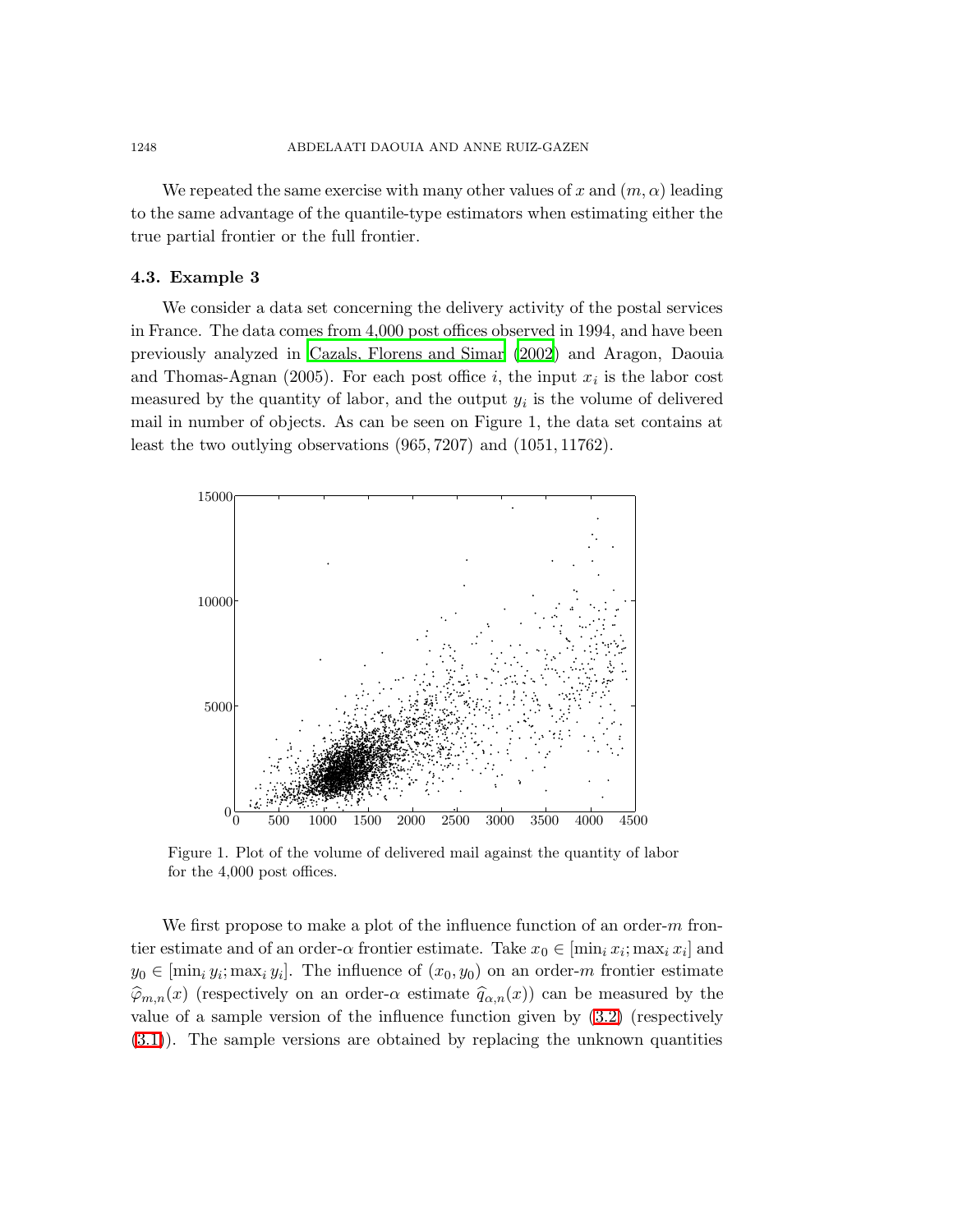We repeated the same exercise with many other values of x and  $(m, \alpha)$  leading to the same advantage of the quantile-type estimators when estimating either the true partial frontier or the full frontier.

### 4.3. Example 3

We consider a data set concerning the delivery activity of the postal services PSfrag replacements in France<sub>2</sub> The data comes from 4,000 post offices observed in 1994, and have been previously analyzed in Cazals, [Florens](#page-19-0) and Simar [\(2002](#page-19-0)) and Aragon, Daouia 1 and Thomas-Agnan (2005). For each post office  $i$ , the input  $x_i$  is the labor cost measured<sup>3</sup> by the quantity of labor, and the output  $y_i$  is the volume of delivered mail in nymber of objects. As can be seen on Figure 1, the data set contains at least the two outlying observations  $(965, 7207)$  and  $(1051, 11762)$ . 4



Figure 1. Plot of the volume of delivered mail against the quantity of labor for the 4,000 post offices.

We first propose to make a plot of the influence function of an order-*m* frontier estimate and of an order- $\alpha$  frontier estimate. Take  $x_0 \in [\min_i x_i; \max_i x_i]$  and  $y_0 \in [\min_i y_i; \max_i y_i]$ . The influence of  $(x_0, y_0)$  on an order-*m* frontier estimate  $\hat{\varphi}_{m,n}(x)$  (respectively on an order- $\alpha$  estimate  $\hat{q}_{\alpha,n}(x)$ ) can be measured by the value of a sample version of the influence function given by [\(3.2\)](#page-7-0) (respectively [\(3.1\)](#page-6-0)). The sample versions are obtained by replacing the unknown quantities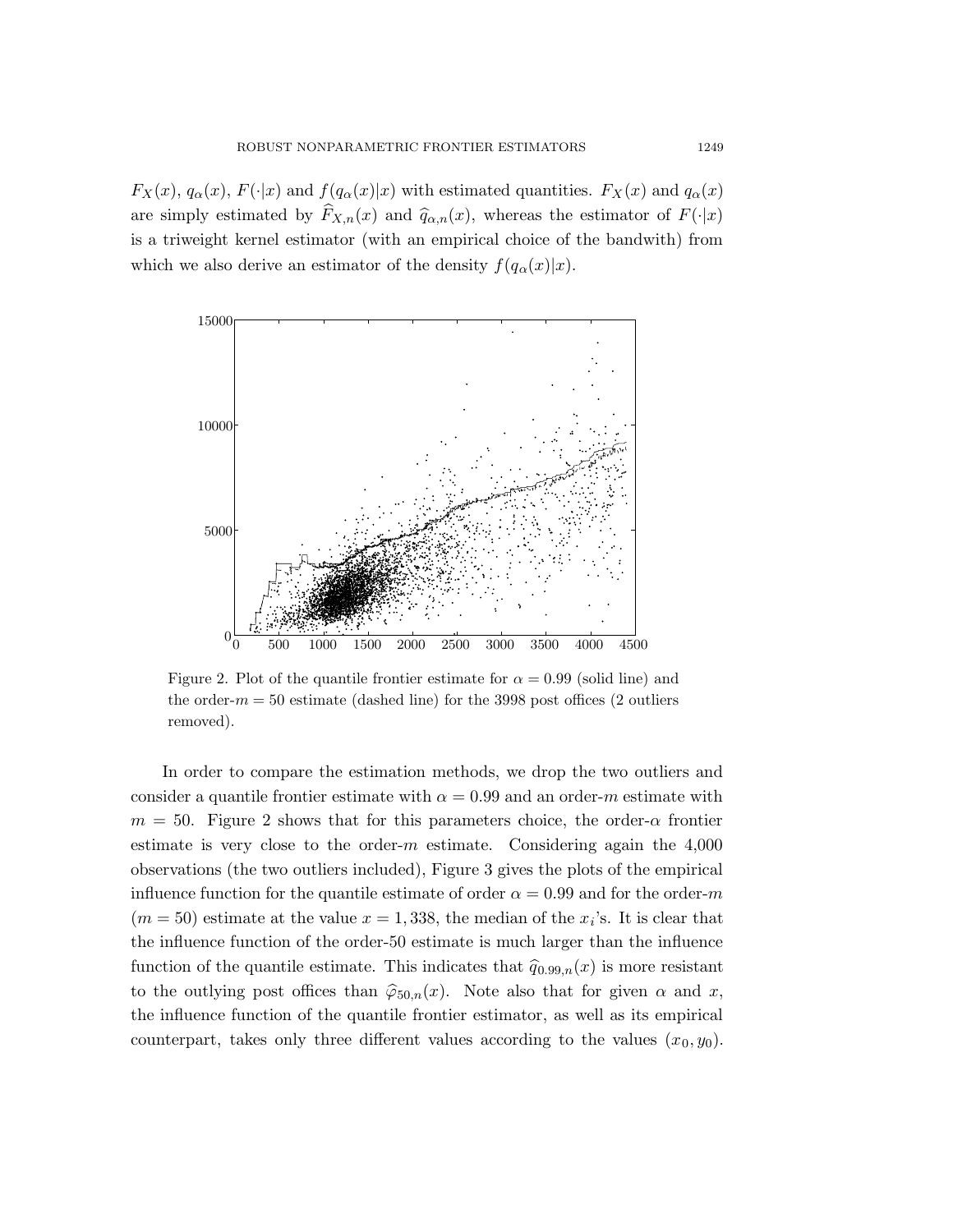-2

 $F_X(x)$ ,  $q_{\alpha}^{\{1\}}(x)$ ,  $F(\cdot|x)$  and  $f(q_{\alpha}(x)|x)$  with estimated quantities.  $F_X(x)$  and  $q_{\alpha}(x)$ are simply estimated by  $F_{X,n}(x)$  and  $\hat{q}_{\alpha,n}(x)$ , whereas the estimator of  $F(\cdot|x)$ is a triwered kernel estimator (with an empirical choice of the bandwith) from which we also derive an estimator of the density  $f(q_\alpha(x)|x)$ .  $\overline{2}$ 6



Figure 2. Plot of the quantile frontier estimate for  $\alpha = 0.99$  (solid line) and the order- $m = 50$  estimate (dashed line) for the 3998 post offices (2 outliers removed).

In order to compare the estimation methods, we drop the two outliers and consider a quantile frontier estimate with  $\alpha = 0.99$  and an order-m estimate with  $m = 50$ . Figure 2 shows that for this parameters choice, the order- $\alpha$  frontier estimate is very close to the order- $m$  estimate. Considering again the  $4,000$ observations (the two outliers included), Figure 3 gives the plots of the empirical influence function for the quantile estimate of order  $\alpha = 0.99$  and for the order-m  $(m = 50)$  estimate at the value  $x = 1,338$ , the median of the  $x_i$ 's. It is clear that the influence function of the order-50 estimate is much larger than the influence function of the quantile estimate. This indicates that  $\hat{q}_{0.99,n}(x)$  is more resistant to the outlying post offices than  $\hat{\varphi}_{50,n}(x)$ . Note also that for given  $\alpha$  and x, the influence function of the quantile frontier estimator, as well as its empirical counterpart, takes only three different values according to the values  $(x_0, y_0)$ .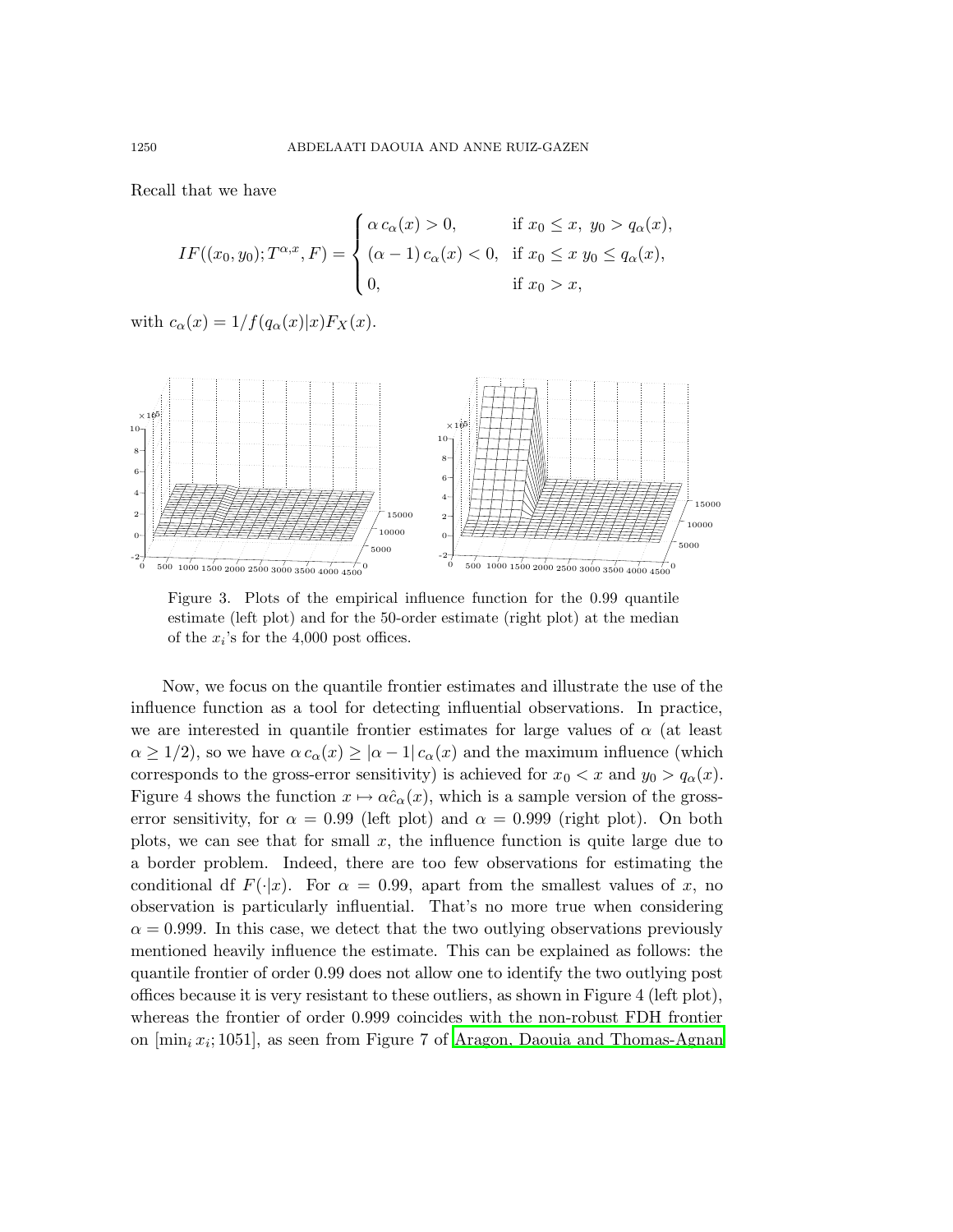Recall that we have

$$
IF((x_0, y_0); T^{\alpha, x}, F) = \begin{cases} \alpha c_{\alpha}(x) > 0, & \text{if } x_0 \le x, y_0 > q_{\alpha}(x), \\ (\alpha - 1) c_{\alpha}(x) < 0, & \text{if } x_0 \le x \ y_0 \le q_{\alpha}(x), \\ 0, & \text{if } x_0 > x, \end{cases}
$$

1

with  $c_{\alpha}(x) = 1/f(q_{\alpha}(x)|x)F_X(x)$ .



Figure 3. Plots of the empirical influence function for the 0.99 quantile estimate (left plot) and for the 50-order estimate (right plot) at the median of the  $x_i$ 's for the 4,000 post offices.

Now, we focus on the quantile frontier estimates and illustrate the use of the influence function as a tool for detecting influential observations. In practice, we are interested in quantile frontier estimates for large values of  $\alpha$  (at least  $\alpha \geq 1/2$ , so we have  $\alpha c_{\alpha}(x) \geq |\alpha - 1| c_{\alpha}(x)$  and the maximum influence (which corresponds to the gross-error sensitivity) is achieved for  $x_0 < x$  and  $y_0 > q_\alpha(x)$ . Figure 4 shows the function  $x \mapsto \alpha \hat{c}_{\alpha}(x)$ , which is a sample version of the grosserror sensitivity, for  $\alpha = 0.99$  (left plot) and  $\alpha = 0.999$  (right plot). On both plots, we can see that for small  $x$ , the influence function is quite large due to a border problem. Indeed, there are too few observations for estimating the conditional df  $F(\cdot|x)$ . For  $\alpha = 0.99$ , apart from the smallest values of x, no observation is particularly influential. That's no more true when considering  $\alpha = 0.999$ . In this case, we detect that the two outlying observations previously mentioned heavily influence the estimate. This can be explained as follows: the quantile frontier of order 0.99 does not allow one to identify the two outlying post offices because it is very resistant to these outliers, as shown in Figure 4 (left plot), whereas the frontier of order 0.999 coincides with the non-robust FDH frontier on  $[\min_i x_i; 1051]$ , as seen from Figure 7 of Aragon, Daouia and [Thomas-Agnan](#page-19-1)

1

3

7

PSfrag replacements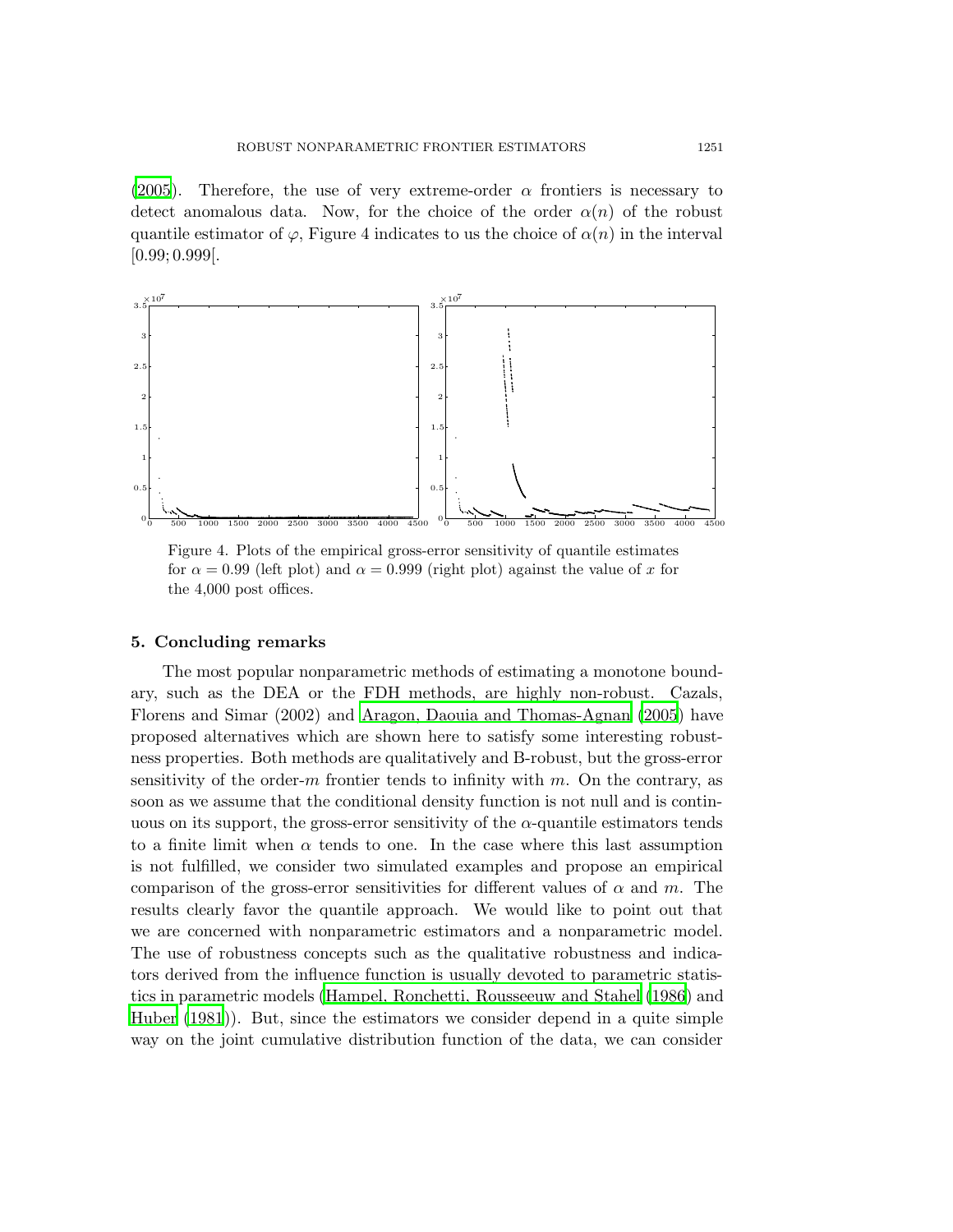#### PSfrag repla  $-2$

#### ROBUST NONPARAMETRIC FRONTIER ESTIMATORS 1251

 $(2005)$  $(2005)$ . Therefore, the use of very extreme-order  $\alpha$  frontiers is necessary to detect anomalous data. Now, for the choice of the order  $\alpha(n)$  of the robust quantile estimator of  $\varphi$ , Figure 4 indicates to us the choice of  $\alpha(n)$  in the interval  $\int_{0}^{8} 0.99; 0.999$ [. 6 10 5 6 8 10



Figure 4. Plots of the empirical gross-error sensitivity of quantile estimates for  $\alpha = 0.99$  (left plot) and  $\alpha = 0.999$  (right plot) against the value of x for the 4,000 post offices.

## 5. Concluding remarks

PSfrag replac

 $-2$ 

The most popular nonparametric methods of estimating a monotone boundary, such as the DEA or the FDH methods, are highly non-robust. Cazals, Florens and Simar (2002) and Aragon, Daouia and [Thomas-Agnan](#page-19-1) [\(2005](#page-19-1)) have proposed alternatives which are shown here to satisfy some interesting robustness properties. Both methods are qualitatively and B-robust, but the gross-error sensitivity of the order-m frontier tends to infinity with  $m$ . On the contrary, as soon as we assume that the conditional density function is not null and is continuous on its support, the gross-error sensitivity of the  $\alpha$ -quantile estimators tends to a finite limit when  $\alpha$  tends to one. In the case where this last assumption is not fulfilled, we consider two simulated examples and propose an empirical comparison of the gross-error sensitivities for different values of  $\alpha$  and m. The results clearly favor the quantile approach. We would like to point out that we are concerned with nonparametric estimators and a nonparametric model. The use of robustness concepts such as the qualitative robustness and indicators derived from the influence function is usually devoted to parametric statistics in parametric models (Hampel, Ronchetti, [Rousseeuw](#page-19-11) and Stahel [\(1986\)](#page-19-11) and [Huber](#page-19-12) [\(1981\)](#page-19-12)). But, since the estimators we consider depend in a quite simple way on the joint cumulative distribution function of the data, we can consider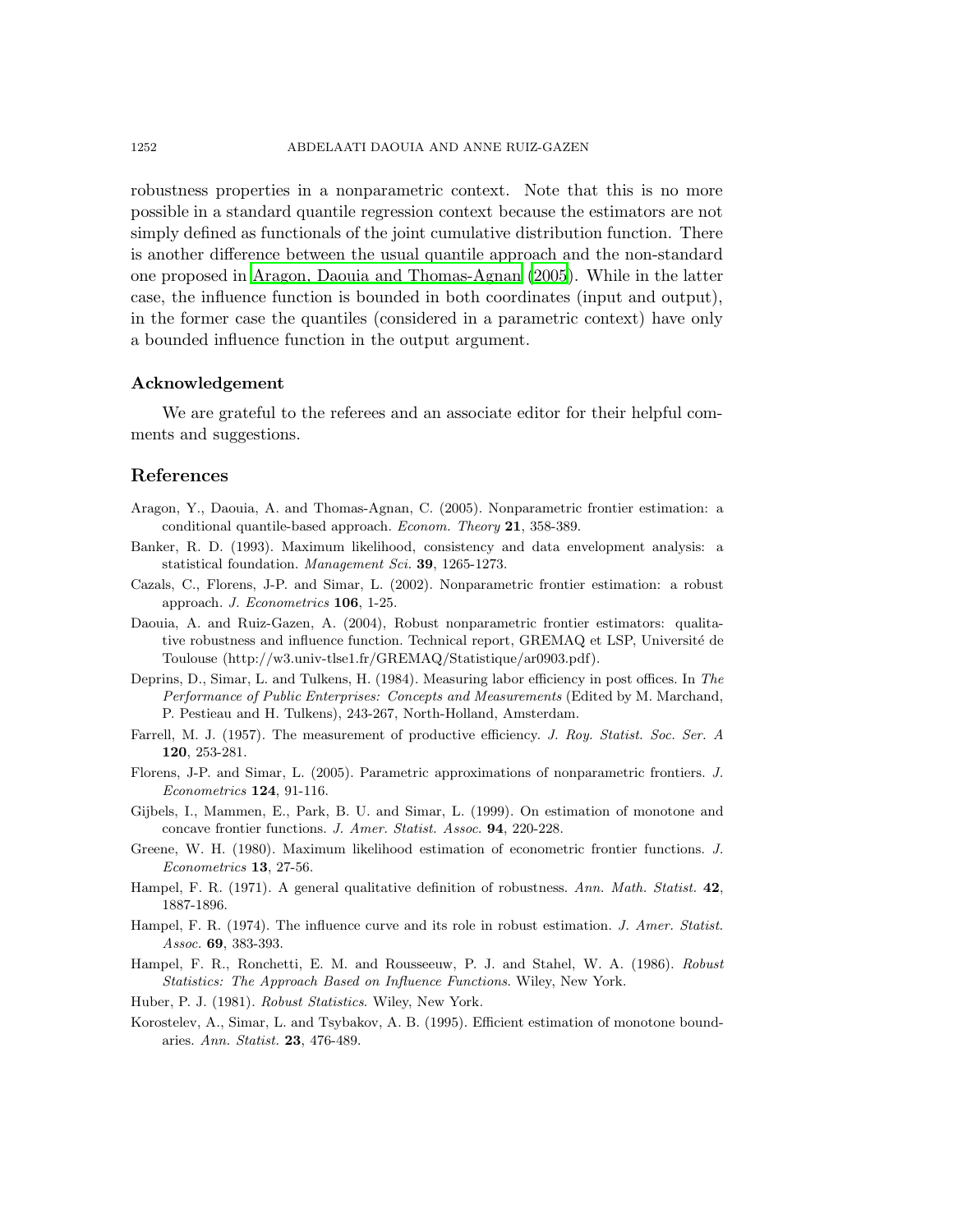robustness properties in a nonparametric context. Note that this is no more possible in a standard quantile regression context because the estimators are not simply defined as functionals of the joint cumulative distribution function. There is another difference between the usual quantile approach and the non-standard one proposed in Aragon, Daouia and [Thomas-Agnan](#page-19-1) [\(2005\)](#page-19-1). While in the latter case, the influence function is bounded in both coordinates (input and output), in the former case the quantiles (considered in a parametric context) have only a bounded influence function in the output argument.

### Acknowledgement

We are grateful to the referees and an associate editor for their helpful comments and suggestions.

## References

- <span id="page-19-1"></span>Aragon, Y., Daouia, A. and Thomas-Agnan, C. (2005). Nonparametric frontier estimation: a conditional quantile-based approach. Econom. Theory 21, 358-389.
- <span id="page-19-3"></span>Banker, R. D. (1993). Maximum likelihood, consistency and data envelopment analysis: a statistical foundation. Management Sci. 39, 1265-1273.
- <span id="page-19-0"></span>Cazals, C., Florens, J-P. and Simar, L. (2002). Nonparametric frontier estimation: a robust approach. J. Econometrics 106, 1-25.
- <span id="page-19-7"></span>Daouia, A. and Ruiz-Gazen, A. (2004), Robust nonparametric frontier estimators: qualitative robustness and influence function. Technical report, GREMAQ et LSP, Université de Toulouse (http://w3.univ-tlse1.fr/GREMAQ/Statistique/ar0903.pdf).
- <span id="page-19-4"></span>Deprins, D., Simar, L. and Tulkens, H. (1984). Measuring labor efficiency in post offices. In The Performance of Public Enterprises: Concepts and Measurements (Edited by M. Marchand, P. Pestieau and H. Tulkens), 243-267, North-Holland, Amsterdam.
- <span id="page-19-2"></span>Farrell, M. J. (1957). The measurement of productive efficiency. J. Roy. Statist. Soc. Ser. A 120, 253-281.
- <span id="page-19-8"></span>Florens, J-P. and Simar, L. (2005). Parametric approximations of nonparametric frontiers. J. Econometrics 124, 91-116.
- <span id="page-19-10"></span>Gijbels, I., Mammen, E., Park, B. U. and Simar, L. (1999). On estimation of monotone and concave frontier functions. J. Amer. Statist. Assoc. 94, 220-228.
- <span id="page-19-9"></span>Greene, W. H. (1980). Maximum likelihood estimation of econometric frontier functions. J. Econometrics 13, 27-56.
- Hampel, F. R. (1971). A general qualitative definition of robustness. Ann. Math. Statist. 42, 1887-1896.
- <span id="page-19-6"></span>Hampel, F. R. (1974). The influence curve and its role in robust estimation. J. Amer. Statist. Assoc. 69, 383-393.
- <span id="page-19-11"></span>Hampel, F. R., Ronchetti, E. M. and Rousseeuw, P. J. and Stahel, W. A. (1986). Robust Statistics: The Approach Based on Influence Functions. Wiley, New York.

<span id="page-19-12"></span>Huber, P. J. (1981). Robust Statistics. Wiley, New York.

<span id="page-19-5"></span>Korostelev, A., Simar, L. and Tsybakov, A. B. (1995). Efficient estimation of monotone boundaries. Ann. Statist. 23, 476-489.